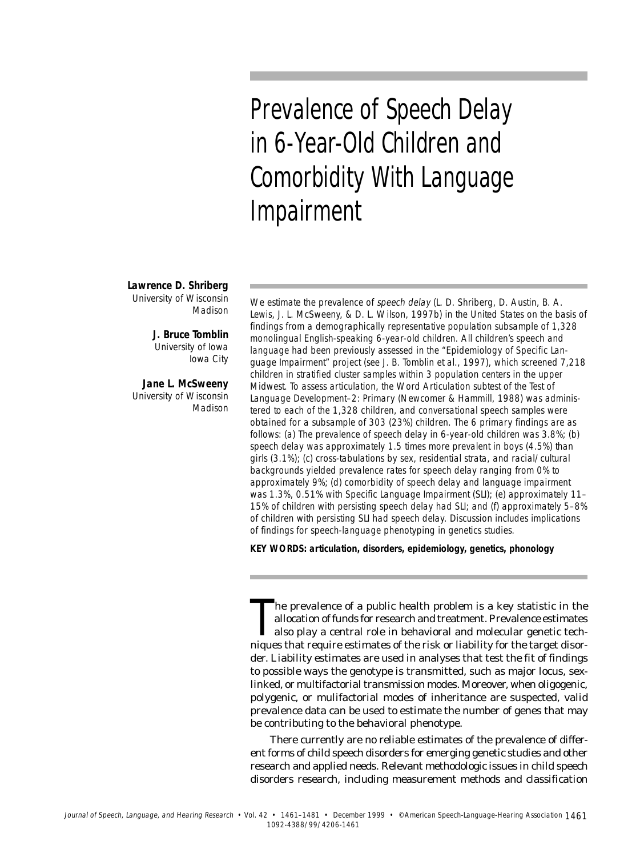Prevalence of Speech Delay in 6-Year-Old Children and Comorbidity With Language Impairment

**Lawrence D. Shriberg** University of Wisconsin Madison

> **J. Bruce Tomblin** University of Iowa Iowa City

**Jane L. McSweeny** University of Wisconsin Madison We estimate the prevalence of speech delay (L. D. Shriberg, D. Austin, B. A. Lewis, J. L. McSweeny, & D. L. Wilson, 1997b) in the United States on the basis of findings from a demographically representative population subsample of 1,328 monolingual English-speaking 6-year-old children. All children's speech and language had been previously assessed in the "Epidemiology of Specific Language Impairment" project (see J. B. Tomblin et al., 1997), which screened 7,218 children in stratified cluster samples within 3 population centers in the upper Midwest. To assess articulation, the Word Articulation subtest of the Test of Language Development–2: Primary (Newcomer & Hammill, 1988) was administered to each of the 1,328 children, and conversational speech samples were obtained for a subsample of 303 (23%) children. The 6 primary findings are as follows: (a) The prevalence of speech delay in 6-year-old children was 3.8%; (b) speech delay was approximately 1.5 times more prevalent in boys (4.5%) than girls (3.1%); (c) cross-tabulations by sex, residential strata, and racial/cultural backgrounds yielded prevalence rates for speech delay ranging from 0% to approximately 9%; (d) comorbidity of speech delay and language impairment was 1.3%, 0.51% with Specific Language Impairment (SLI); (e) approximately 11-15% of children with persisting speech delay had SLI; and (f) approximately 5–8% of children with persisting SLI had speech delay. Discussion includes implications of findings for speech-language phenotyping in genetics studies.

**KEY WORDS: articulation, disorders, epidemiology, genetics, phonology**

The prevalence of a public health problem is a key statistic in the allocation of funds for research and treatment. Prevalence estimates also play a central role in behavioral and molecular genetic techniques that require he prevalence of a public health problem is a key statistic in the allocation of funds for research and treatment. Prevalence estimates also play a central role in behavioral and molecular genetic techder. Liability estimates are used in analyses that test the fit of findings to possible ways the genotype is transmitted, such as major locus, sexlinked, or multifactorial transmission modes. Moreover, when oligogenic, polygenic, or mulifactorial modes of inheritance are suspected, valid prevalence data can be used to estimate the number of genes that may be contributing to the behavioral phenotype.

There currently are no reliable estimates of the prevalence of different forms of child speech disorders for emerging genetic studies and other research and applied needs. Relevant methodologic issues in child speech disorders research, including measurement methods and classification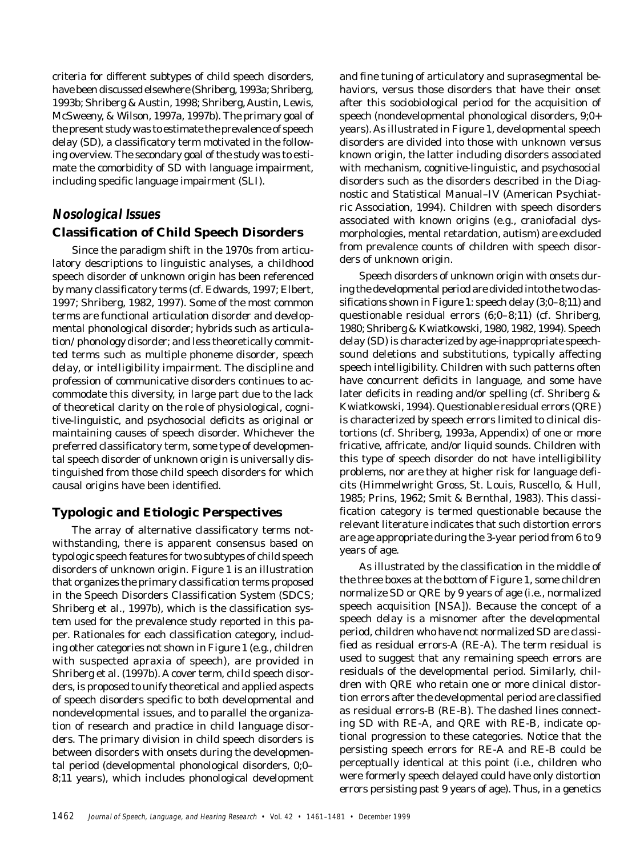criteria for different subtypes of child speech disorders, have been discussed elsewhere (Shriberg, 1993a; Shriberg, 1993b; Shriberg & Austin, 1998; Shriberg, Austin, Lewis, McSweeny, & Wilson, 1997a, 1997b). The primary goal of the present study was to estimate the prevalence of speech delay (SD), a classificatory term motivated in the following overview. The secondary goal of the study was to estimate the comorbidity of SD with language impairment, including specific language impairment (SLI).

# **Nosological Issues Classification of Child Speech Disorders**

Since the paradigm shift in the 1970s from articulatory descriptions to linguistic analyses, a childhood speech disorder of unknown origin has been referenced by many classificatory terms (cf. Edwards, 1997; Elbert, 1997; Shriberg, 1982, 1997). Some of the most common terms are *functional articulation disorder* and *developmental phonological disorder*; hybrids such as *articulation/phonology disorder*; and less theoretically committed terms such as *multiple phoneme disorder*, *speech delay*, or *intelligibility impairment*. The discipline and profession of communicative disorders continues to accommodate this diversity, in large part due to the lack of theoretical clarity on the role of physiological, cognitive-linguistic, and psychosocial deficits as original or maintaining causes of speech disorder. Whichever the preferred classificatory term, some type of developmental speech disorder of unknown origin is universally distinguished from those child speech disorders for which causal origins have been identified.

# **Typologic and Etiologic Perspectives**

The array of alternative classificatory terms notwithstanding, there is apparent consensus based on typologic speech features for two subtypes of child speech disorders of unknown origin. Figure 1 is an illustration that organizes the primary classification terms proposed in the Speech Disorders Classification System (SDCS; Shriberg et al., 1997b), which is the classification system used for the prevalence study reported in this paper. Rationales for each classification category, including other categories not shown in Figure 1 (e.g., children with suspected apraxia of speech), are provided in Shriberg et al. (1997b). A cover term, *child speech disorders*, is proposed to unify theoretical and applied aspects of speech disorders specific to both developmental and nondevelopmental issues, and to parallel the organization of research and practice in *child language disorders*. The primary division in child speech disorders is between disorders with onsets during the developmental period (developmental phonological disorders, 0;0– 8;11 years), which includes phonological development

and fine tuning of articulatory and suprasegmental behaviors, versus those disorders that have their onset after this sociobiological period for the acquisition of speech (nondevelopmental phonological disorders, 9;0+ years). As illustrated in Figure 1, developmental speech disorders are divided into those with unknown versus known origin, the latter including disorders associated with mechanism, cognitive-linguistic, and psychosocial disorders such as the disorders described in the *Diagnostic and Statistical Manual–IV* (American Psychiatric Association, 1994). Children with speech disorders associated with known origins (e.g., craniofacial dysmorphologies, mental retardation, autism) are excluded from prevalence counts of children with speech disorders of unknown origin.

Speech disorders of unknown origin with onsets during the developmental period are divided into the two classifications shown in Figure 1: speech delay (3;0–8;11) and questionable residual errors (6;0–8;11) (cf. Shriberg, 1980; Shriberg & Kwiatkowski, 1980, 1982, 1994). Speech delay (SD) is characterized by age-inappropriate speechsound deletions and substitutions, typically affecting speech intelligibility. Children with such patterns often have concurrent deficits in language, and some have later deficits in reading and/or spelling (cf. Shriberg & Kwiatkowski, 1994). Questionable residual errors (QRE) is characterized by speech errors limited to clinical distortions (cf. Shriberg, 1993a, Appendix) of one or more fricative, affricate, and/or liquid sounds. Children with this type of speech disorder do not have intelligibility problems, nor are they at higher risk for language deficits (Himmelwright Gross, St. Louis, Ruscello, & Hull, 1985; Prins, 1962; Smit & Bernthal, 1983). This classification category is termed questionable because the relevant literature indicates that such distortion errors are age appropriate during the 3-year period from 6 to 9 years of age.

As illustrated by the classification in the middle of the three boxes at the bottom of Figure 1, some children normalize SD or QRE by 9 years of age (i.e., normalized speech acquisition [NSA]). Because the concept of a speech *delay* is a misnomer after the developmental period, children who have not normalized SD are classified as residual errors-A (RE-A). The term *residual* is used to suggest that any remaining speech errors are residuals of the developmental period. Similarly, children with QRE who retain one or more clinical distortion errors after the developmental period are classified as residual errors-B (RE-B). The dashed lines connecting SD with RE-A, and QRE with RE-B, indicate optional progression to these categories. Notice that the persisting speech errors for RE-A and RE-B could be perceptually identical at this point (i.e., children who were formerly speech delayed could have only distortion errors persisting past 9 years of age). Thus, in a genetics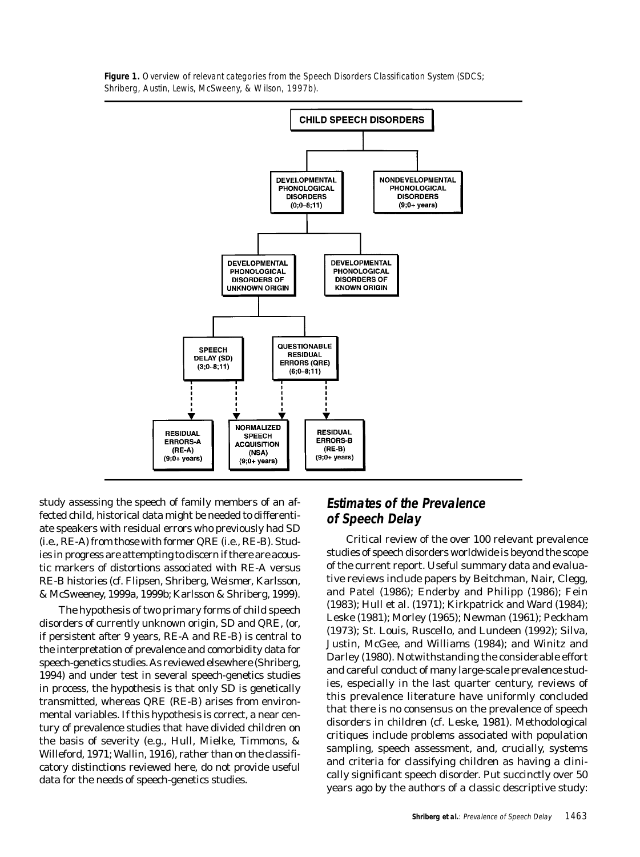

**Figure 1.** Overview of relevant categories from the Speech Disorders Classification System (SDCS; Shriberg, Austin, Lewis, McSweeny, & Wilson, 1997b).

study assessing the speech of family members of an affected child, historical data might be needed to differentiate speakers with residual errors who previously had SD (i.e., RE-A) from those with former QRE (i.e., RE-B). Studies in progress are attempting to discern if there are acoustic markers of distortions associated with RE-A versus RE-B histories (cf. Flipsen, Shriberg, Weismer, Karlsson, & McSweeney, 1999a, 1999b; Karlsson & Shriberg, 1999).

The hypothesis of two primary forms of child speech disorders of currently unknown origin, SD and QRE, (or, if persistent after 9 years, RE-A and RE-B) is central to the interpretation of prevalence and comorbidity data for speech-genetics studies. As reviewed elsewhere (Shriberg, 1994) and under test in several speech-genetics studies in process, the hypothesis is that only SD is genetically transmitted, whereas QRE (RE-B) arises from environmental variables. If this hypothesis is correct, a near century of prevalence studies that have divided children on the basis of severity (e.g., Hull, Mielke, Timmons, & Willeford, 1971; Wallin, 1916), rather than on the classificatory distinctions reviewed here, do not provide useful data for the needs of speech-genetics studies.

# **Estimates of the Prevalence of Speech Delay**

Critical review of the over 100 relevant prevalence studies of speech disorders worldwide is beyond the scope of the current report. Useful summary data and evaluative reviews include papers by Beitchman, Nair, Clegg, and Patel (1986); Enderby and Philipp (1986); Fein (1983); Hull et al. (1971); Kirkpatrick and Ward (1984); Leske (1981); Morley (1965); Newman (1961); Peckham (1973); St. Louis, Ruscello, and Lundeen (1992); Silva, Justin, McGee, and Williams (1984); and Winitz and Darley (1980). Notwithstanding the considerable effort and careful conduct of many large-scale prevalence studies, especially in the last quarter century, reviews of this prevalence literature have uniformly concluded that there is no consensus on the prevalence of speech disorders in children (cf. Leske, 1981). Methodological critiques include problems associated with population sampling, speech assessment, and, crucially, systems and criteria for classifying children as having a clinically significant speech disorder. Put succinctly over 50 years ago by the authors of a classic descriptive study: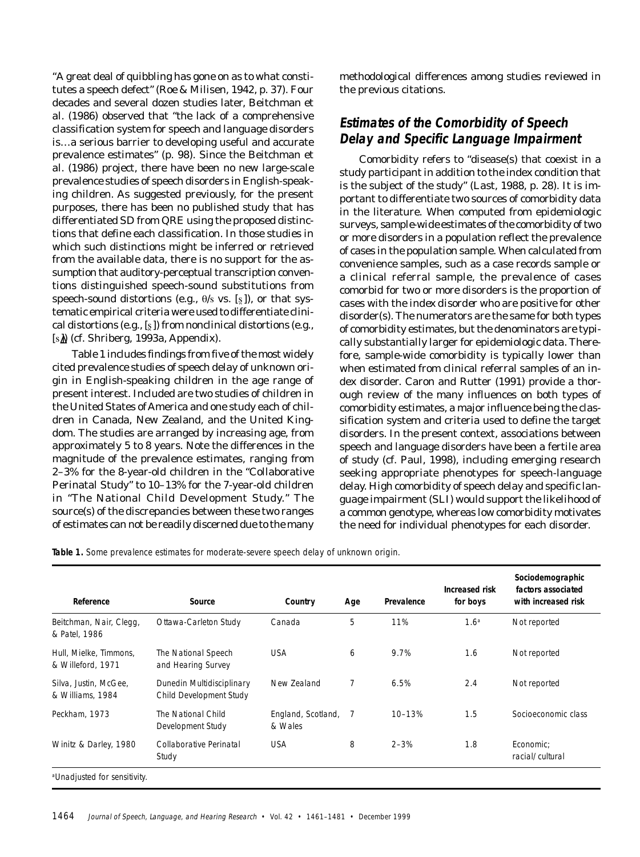"A great deal of quibbling has gone on as to what constitutes a speech defect" (Roe & Milisen, 1942, p. 37). Four decades and several dozen studies later, Beitchman et al. (1986) observed that "the lack of a comprehensive classification system for speech and language disorders is…a serious barrier to developing useful and accurate prevalence estimates" (p. 98). Since the Beitchman et al. (1986) project, there have been no new large-scale prevalence studies of speech disorders in English-speaking children. As suggested previously, for the present purposes, there has been no published study that has differentiated SD from QRE using the proposed distinctions that define each classification. In those studies in which such distinctions might be inferred or retrieved from the available data, there is no support for the assumption that auditory-perceptual transcription conventions distinguished speech-sound substitutions from speech-sound distortions (e.g.,  $\theta$ /s vs. [s]), or that systematic empirical criteria were used to differentiate clinical distortions (e.g.,  $[s]$ ) from nonclinical distortions (e.g., [s∆]) (cf. Shriberg, 1993a, Appendix).

Table 1 includes findings from five of the most widely cited prevalence studies of speech delay of unknown origin in English-speaking children in the age range of present interest. Included are two studies of children in the United States of America and one study each of children in Canada, New Zealand, and the United Kingdom. The studies are arranged by increasing age, from approximately 5 to 8 years. Note the differences in the magnitude of the prevalence estimates, ranging from 2–3% for the 8-year-old children in the "Collaborative Perinatal Study" to 10–13% for the 7-year-old children in "The National Child Development Study." The source(s) of the discrepancies between these two ranges of estimates can not be readily discerned due to the many

methodological differences among studies reviewed in the previous citations.

# **Estimates of the Comorbidity of Speech Delay and Specific Language Impairment**

Comorbidity refers to "disease(s) that coexist in a study participant in addition to the index condition that is the subject of the study" (Last, 1988, p. 28). It is important to differentiate two sources of comorbidity data in the literature. When computed from epidemiologic surveys, *sample-wide* estimates of the comorbidity of two or more disorders in a population reflect the prevalence of cases in the population sample. When calculated from convenience samples, such as a case records sample or a clinical referral sample, the prevalence of cases comorbid for two or more disorders is the proportion of cases with the *index disorder* who are positive for other disorder(s). The numerators are the same for both types of comorbidity estimates, but the denominators are typically substantially larger for epidemiologic data. Therefore, sample-wide comorbidity is typically lower than when estimated from clinical referral samples of an index disorder. Caron and Rutter (1991) provide a thorough review of the many influences on both types of comorbidity estimates, a major influence being the classification system and criteria used to define the target disorders. In the present context, associations between speech and language disorders have been a fertile area of study (cf. Paul, 1998), including emerging research seeking appropriate phenotypes for speech-language delay. High comorbidity of speech delay and specific language impairment (SLI) would support the likelihood of a common genotype, whereas low comorbidity motivates the need for individual phenotypes for each disorder.

**Table 1.** Some prevalence estimates for moderate-severe speech delay of unknown origin.

| Reference                                   | Source                                               | Country                         | Age | Prevalence | Increased risk<br>for boys | Sociodemographic<br>factors associated<br>with increased risk |
|---------------------------------------------|------------------------------------------------------|---------------------------------|-----|------------|----------------------------|---------------------------------------------------------------|
| Beitchman, Nair, Clegg,<br>& Patel, 1986    | Ottawa-Carleton Study                                | Canada                          | 5   | 11%        | 1.6 <sup>a</sup>           | Not reported                                                  |
| Hull, Mielke, Timmons,<br>& Willeford, 1971 | The National Speech<br>and Hearing Survey            | <b>USA</b>                      | 6   | 9.7%       | 1.6                        | Not reported                                                  |
| Silva, Justin, McGee,<br>& Williams, 1984   | Dunedin Multidisciplinary<br>Child Development Study | New Zealand                     | 7   | 6.5%       | 2.4                        | Not reported                                                  |
| Peckham, 1973                               | The National Child<br>Development Study              | England, Scotland, 7<br>& Wales |     | 10-13%     | 1.5                        | Socioeconomic class                                           |
| Winitz & Darley, 1980                       | Collaborative Perinatal<br>Study                     | <b>USA</b>                      | 8   | $2 - 3%$   | 1.8                        | Economic:<br>racial/cultural                                  |
| <sup>a</sup> Unadjusted for sensitivity.    |                                                      |                                 |     |            |                            |                                                               |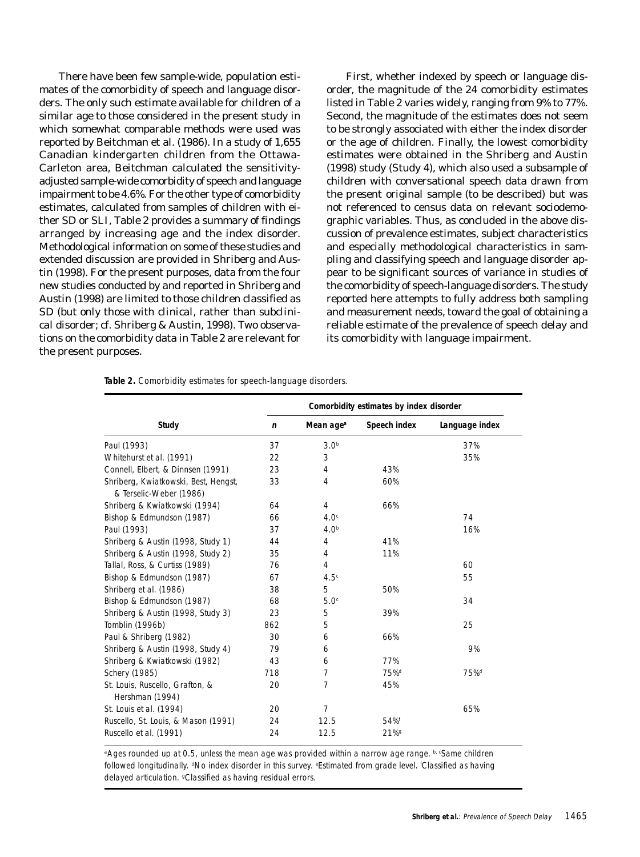There have been few sample-wide, population estimates of the comorbidity of speech and language disorders. The only such estimate available for children of a similar age to those considered in the present study in which somewhat comparable methods were used was reported by Beitchman et al. (1986). In a study of 1,655 Canadian kindergarten children from the Ottawa-Carleton area, Beitchman calculated the sensitivityadjusted sample-wide comorbidity of speech and language impairment to be 4.6%. For the other type of comorbidity estimates, calculated from samples of children with either SD or SLI, Table 2 provides a summary of findings arranged by increasing age and the index disorder. Methodological information on some of these studies and extended discussion are provided in Shriberg and Austin (1998). For the present purposes, data from the four new studies conducted by and reported in Shriberg and Austin (1998) are limited to those children classified as SD (but only those with *clinical*, rather than *subclinical* disorder; cf. Shriberg & Austin, 1998). Two observations on the comorbidity data in Table 2 are relevant for the present purposes.

First, whether indexed by speech or language disorder, the magnitude of the 24 comorbidity estimates listed in Table 2 varies widely, ranging from 9% to 77%. Second, the magnitude of the estimates does not seem to be strongly associated with either the index disorder or the age of children. Finally, the lowest comorbidity estimates were obtained in the Shriberg and Austin (1998) study (Study 4), which also used a subsample of children with conversational speech data drawn from the present original sample (to be described) but was not referenced to census data on relevant sociodemographic variables. Thus, as concluded in the above discussion of prevalence estimates, subject characteristics and especially methodological characteristics in sampling and classifying speech and language disorder appear to be significant sources of variance in studies of the comorbidity of speech-language disorders. The study reported here attempts to fully address both sampling and measurement needs, toward the goal of obtaining a reliable estimate of the prevalence of speech delay and its comorbidity with language impairment.

|                                                                 |     | Comorbidity estimates by index disorder |                  |                  |  |  |  |  |
|-----------------------------------------------------------------|-----|-----------------------------------------|------------------|------------------|--|--|--|--|
| Study                                                           | n   | Mean age <sup>a</sup>                   | Speech index     | Language index   |  |  |  |  |
| Paul (1993)                                                     | 37  | 3.0 <sup>b</sup>                        |                  | 37%              |  |  |  |  |
| Whitehurst et al. (1991)                                        | 22  | 3                                       |                  | 35%              |  |  |  |  |
| Connell, Elbert, & Dinnsen (1991)                               | 23  | 4                                       | 43%              |                  |  |  |  |  |
| Shriberg, Kwiatkowski, Best, Hengst,<br>& Terselic-Weber (1986) | 33  | 4                                       | 60%              |                  |  |  |  |  |
| Shriberg & Kwiatkowski (1994)                                   | 64  | 4                                       | 66%              |                  |  |  |  |  |
| Bishop & Edmundson (1987)                                       | 66  | 4.0 <sup>c</sup>                        |                  | 74               |  |  |  |  |
| Paul (1993)                                                     | 37  | 4.0 <sup>b</sup>                        |                  | 16%              |  |  |  |  |
| Shriberg & Austin (1998, Study 1)                               | 44  | 4                                       | 41%              |                  |  |  |  |  |
| Shriberg & Austin (1998, Study 2)                               | 35  | 4                                       | 11%              |                  |  |  |  |  |
| Tallal, Ross, & Curtiss (1989)                                  | 76  | 4                                       |                  | 60               |  |  |  |  |
| Bishop & Edmundson (1987)                                       | 67  | 4.5 <sup>c</sup>                        |                  | 55               |  |  |  |  |
| Shriberg et al. (1986)                                          | 38  | 5                                       | 50%              |                  |  |  |  |  |
| Bishop & Edmundson (1987)                                       | 68  | 5.0 <sup>c</sup>                        |                  | 34               |  |  |  |  |
| Shriberg & Austin (1998, Study 3)                               | 23  | 5                                       | 39%              |                  |  |  |  |  |
| Tomblin (1996b)                                                 | 862 | 5                                       |                  | 25               |  |  |  |  |
| Paul & Shriberg (1982)                                          | 30  | 6                                       | 66%              |                  |  |  |  |  |
| Shriberg & Austin (1998, Study 4)                               | 79  | 6                                       |                  | 9%               |  |  |  |  |
| Shriberg & Kwiatkowski (1982)                                   | 43  | 6                                       | 77%              |                  |  |  |  |  |
| Schery (1985)                                                   | 718 | 7                                       | 75% <sup>d</sup> | 75% <sup>d</sup> |  |  |  |  |
| St. Louis, Ruscello, Grafton, &<br>Hershman (1994)              | 20  | 7                                       | 45%              |                  |  |  |  |  |
| St. Louis et al. (1994)                                         | 20  | 7                                       |                  | 65%              |  |  |  |  |
| Ruscello, St. Louis, & Mason (1991)                             | 24  | 12.5                                    | 54% <sup>f</sup> |                  |  |  |  |  |
| Ruscello et al. (1991)                                          | 24  | 12.5                                    | 21%9             |                  |  |  |  |  |

a Ages rounded up at 0.5, unless the mean age was provided within a narrow age range. b, cSame children followed longitudinally. <sup>«</sup>No index disorder in this survey. <sup>e</sup>Estimated from grade level. <sup>r</sup>Classified as having delayed articulation. <sup>9</sup>Classified as having residual errors.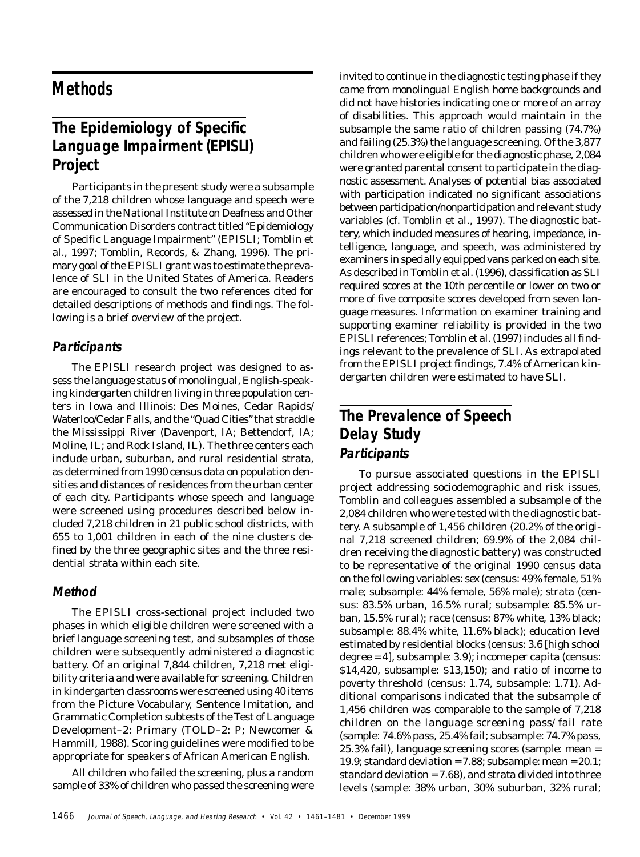# **Methods**

# **The Epidemiology of Specific Language Impairment (EPISLI) Project**

Participants in the present study were a subsample of the 7,218 children whose language and speech were assessed in the National Institute on Deafness and Other Communication Disorders contract titled "Epidemiology of Specific Language Impairment" (EPISLI; Tomblin et al., 1997; Tomblin, Records, & Zhang, 1996). The primary goal of the EPISLI grant was to estimate the prevalence of SLI in the United States of America. Readers are encouraged to consult the two references cited for detailed descriptions of methods and findings. The following is a brief overview of the project.

# **Participants**

The EPISLI research project was designed to assess the language status of monolingual, English-speaking kindergarten children living in three population centers in Iowa and Illinois: Des Moines, Cedar Rapids/ Waterloo/Cedar Falls, and the "Quad Cities" that straddle the Mississippi River (Davenport, IA; Bettendorf, IA; Moline, IL; and Rock Island, IL). The three centers each include urban, suburban, and rural residential strata, as determined from 1990 census data on population densities and distances of residences from the urban center of each city. Participants whose speech and language were screened using procedures described below included 7,218 children in 21 public school districts, with 655 to 1,001 children in each of the nine clusters defined by the three geographic sites and the three residential strata within each site.

### **Method**

The EPISLI cross-sectional project included two phases in which eligible children were screened with a brief language screening test, and subsamples of those children were subsequently administered a diagnostic battery. Of an original 7,844 children, 7,218 met eligibility criteria and were available for screening. Children in kindergarten classrooms were screened using 40 items from the Picture Vocabulary, Sentence Imitation, and Grammatic Completion subtests of the Test of Language Development–2: Primary (TOLD–2: P; Newcomer & Hammill, 1988). Scoring guidelines were modified to be appropriate for speakers of African American English.

All children who failed the screening, plus a random sample of 33% of children who passed the screening were invited to continue in the diagnostic testing phase if they came from monolingual English home backgrounds and did not have histories indicating one or more of an array of disabilities. This approach would maintain in the subsample the same ratio of children passing (74.7%) and failing (25.3%) the language screening. Of the 3,877 children who were eligible for the diagnostic phase, 2,084 were granted parental consent to participate in the diagnostic assessment. Analyses of potential bias associated with participation indicated no significant associations between participation/nonparticipation and relevant study variables (cf. Tomblin et al., 1997). The diagnostic battery, which included measures of hearing, impedance, intelligence, language, and speech, was administered by examiners in specially equipped vans parked on each site. As described in Tomblin et al. (1996), classification as SLI required scores at the 10th percentile or lower on two or more of five composite scores developed from seven language measures. Information on examiner training and supporting examiner reliability is provided in the two EPISLI references; Tomblin et al. (1997) includes all findings relevant to the prevalence of SLI. As extrapolated from the EPISLI project findings, 7.4% of American kindergarten children were estimated to have SLI.

# **The Prevalence of Speech Delay Study Participants**

To pursue associated questions in the EPISLI project addressing sociodemographic and risk issues, Tomblin and colleagues assembled a subsample of the 2,084 children who were tested with the diagnostic battery. A subsample of 1,456 children (20.2% of the original 7,218 screened children; 69.9% of the 2,084 children receiving the diagnostic battery) was constructed to be representative of the original 1990 census data on the following variables: *sex* (census: 49% female, 51% male; subsample: 44% female, 56% male); *strata* (census: 83.5% urban, 16.5% rural; subsample: 85.5% urban, 15.5% rural); *race* (census: 87% white, 13% black; subsample: 88.4% white, 11.6% black); *education level* estimated by residential blocks (census: 3.6 [high school degree = 4], subsample: 3.9); *income per capita* (census: \$14,420, subsample: \$13,150); and *ratio of income to poverty threshold* (census: 1.74, subsample: 1.71). Additional comparisons indicated that the subsample of 1,456 children was comparable to the sample of 7,218 children on the *language screening pass/fail rate* (sample: 74.6% pass, 25.4% fail; subsample: 74.7% pass, 25.3% fail), *language screening scores* (sample: mean = 19.9; standard deviation = 7.88; subsample: mean = 20.1; standard deviation = 7.68), and *strata* divided into three levels (sample: 38% urban, 30% suburban, 32% rural;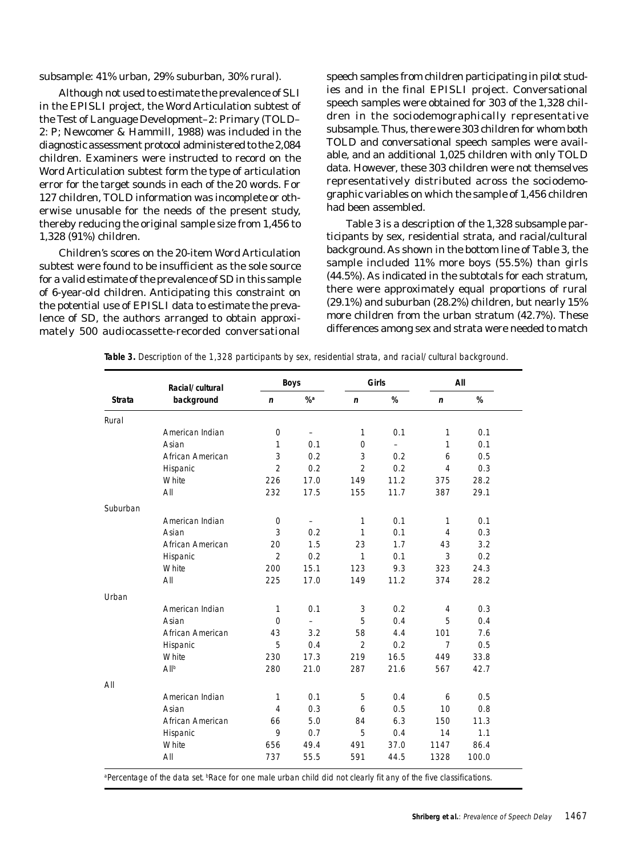subsample: 41% urban, 29% suburban, 30% rural).

Although not used to estimate the prevalence of SLI in the EPISLI project, the Word Articulation subtest of the Test of Language Development–2: Primary (TOLD– 2: P; Newcomer & Hammill, 1988) was included in the diagnostic assessment protocol administered to the 2,084 children. Examiners were instructed to record on the Word Articulation subtest form the type of articulation error for the target sounds in each of the 20 words. For 127 children, TOLD information was incomplete or otherwise unusable for the needs of the present study, thereby reducing the original sample size from 1,456 to 1,328 (91%) children.

Children's scores on the 20-item Word Articulation subtest were found to be insufficient as the sole source for a valid estimate of the prevalence of SD in this sample of 6-year-old children. Anticipating this constraint on the potential use of EPISLI data to estimate the prevalence of SD, the authors arranged to obtain approximately 500 audiocassette-recorded conversational speech samples from children participating in pilot studies and in the final EPISLI project. Conversational speech samples were obtained for 303 of the 1,328 children in the sociodemographically representative subsample. Thus, there were 303 children for whom both TOLD and conversational speech samples were available, and an additional 1,025 children with only TOLD data. However, these 303 children were not themselves representatively distributed across the sociodemographic variables on which the sample of 1,456 children had been assembled.

Table 3 is a description of the 1,328 subsample participants by sex, residential strata, and racial/cultural background. As shown in the bottom line of Table 3, the sample included 11% more boys (55.5%) than girls (44.5%). As indicated in the subtotals for each stratum, there were approximately equal proportions of rural (29.1%) and suburban (28.2%) children, but nearly 15% more children from the urban stratum (42.7%). These differences among sex and strata were needed to match

|               | Racial/cultural  |                | <b>Boys</b> |                | Girls | All            |       |  |
|---------------|------------------|----------------|-------------|----------------|-------|----------------|-------|--|
| <b>Strata</b> | background       | n              | $% =$       | $\mathsf{n}$   | %     | n              | %     |  |
| Rural         |                  |                |             |                |       |                |       |  |
|               | American Indian  | 0              |             | $\mathbf{1}$   | 0.1   | 1              | 0.1   |  |
|               | Asian            | 1              | 0.1         | $\mathbf 0$    | -     | 1              | 0.1   |  |
|               | African American | 3              | 0.2         | 3              | 0.2   | 6              | 0.5   |  |
|               | Hispanic         | $\overline{2}$ | 0.2         | $\overline{2}$ | 0.2   | 4              | 0.3   |  |
|               | White            | 226            | 17.0        | 149            | 11.2  | 375            | 28.2  |  |
|               | All              | 232            | 17.5        | 155            | 11.7  | 387            | 29.1  |  |
| Suburban      |                  |                |             |                |       |                |       |  |
|               | American Indian  | 0              |             | $\mathbf{1}$   | 0.1   | 1              | 0.1   |  |
|               | Asian            | 3              | 0.2         | 1              | 0.1   | 4              | 0.3   |  |
|               | African American | 20             | 1.5         | 23             | 1.7   | 43             | 3.2   |  |
|               | Hispanic         | $\overline{2}$ | 0.2         | $\mathbf{1}$   | 0.1   | 3              | 0.2   |  |
|               | White            | 200            | 15.1        | 123            | 9.3   | 323            | 24.3  |  |
|               | All              | 225            | 17.0        | 149            | 11.2  | 374            | 28.2  |  |
| Urban         |                  |                |             |                |       |                |       |  |
|               | American Indian  | $\mathbf{1}$   | 0.1         | 3              | 0.2   | 4              | 0.3   |  |
|               | Asian            | $\Omega$       |             | 5              | 0.4   | 5              | 0.4   |  |
|               | African American | 43             | 3.2         | 58             | 4.4   | 101            | 7.6   |  |
|               | Hispanic         | 5              | 0.4         | $\overline{2}$ | 0.2   | $\overline{7}$ | 0.5   |  |
|               | White            | 230            | 17.3        | 219            | 16.5  | 449            | 33.8  |  |
|               | Allb             | 280            | 21.0        | 287            | 21.6  | 567            | 42.7  |  |
| All           |                  |                |             |                |       |                |       |  |
|               | American Indian  | 1              | 0.1         | 5              | 0.4   | 6              | 0.5   |  |
|               | Asian            | $\overline{4}$ | 0.3         | 6              | 0.5   | 10             | 0.8   |  |
|               | African American | 66             | 5.0         | 84             | 6.3   | 150            | 11.3  |  |
|               | Hispanic         | 9              | 0.7         | 5              | 0.4   | 14             | 1.1   |  |
|               | White            | 656            | 49.4        | 491            | 37.0  | 1147           | 86.4  |  |
|               | All              | 737            | 55.5        | 591            | 44.5  | 1328           | 100.0 |  |

**Table 3.** Description of the 1,328 participants by sex, residential strata, and racial/cultural background.

ªPercentage of the data set. <sup>b</sup>Race for one male urban child did not clearly fit any of the five classifications.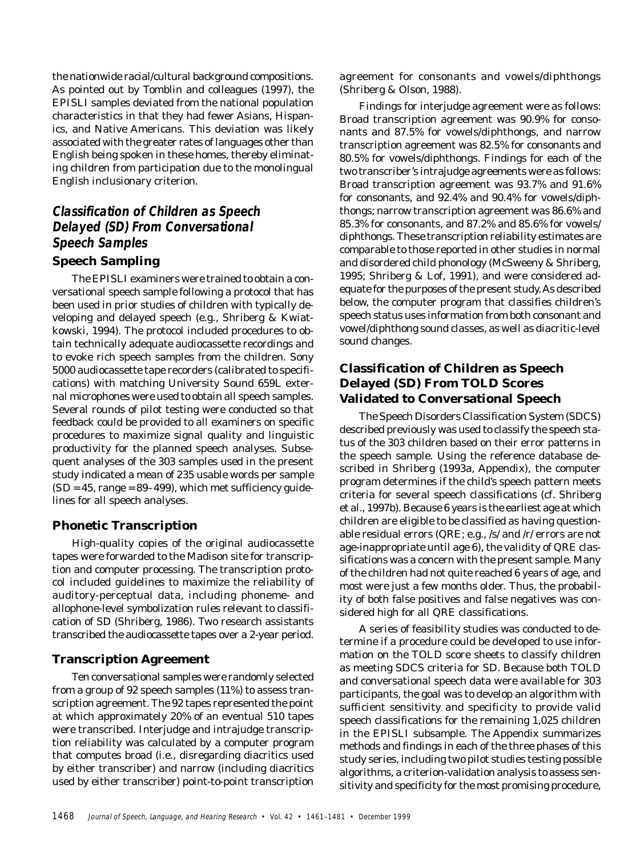the nationwide racial/cultural background compositions. As pointed out by Tomblin and colleagues (1997), the EPISLI samples deviated from the national population characteristics in that they had fewer Asians, Hispanics, and Native Americans. This deviation was likely associated with the greater rates of languages other than English being spoken in these homes, thereby eliminating children from participation due to the monolingual English inclusionary criterion.

# **Classification of Children as Speech Delayed (SD) From Conversational Speech Samples**

### **Speech Sampling**

The EPISLI examiners were trained to obtain a conversational speech sample following a protocol that has been used in prior studies of children with typically developing and delayed speech (e.g., Shriberg & Kwiatkowski, 1994). The protocol included procedures to obtain technically adequate audiocassette recordings and to evoke rich speech samples from the children. Sony 5000 audiocassette tape recorders (calibrated to specifications) with matching University Sound 659L external microphones were used to obtain all speech samples. Several rounds of pilot testing were conducted so that feedback could be provided to all examiners on specific procedures to maximize signal quality and linguistic productivity for the planned speech analyses. Subsequent analyses of the 303 samples used in the present study indicated a mean of 235 usable words per sample  $(SD = 45$ , range  $= 89 - 499$ ), which met sufficiency guidelines for all speech analyses.

# **Phonetic Transcription**

High-quality copies of the original audiocassette tapes were forwarded to the Madison site for transcription and computer processing. The transcription protocol included guidelines to maximize the reliability of auditory-perceptual data, including phoneme- and allophone-level symbolization rules relevant to classification of SD (Shriberg, 1986). Two research assistants transcribed the audiocassette tapes over a 2-year period.

# **Transcription Agreement**

Ten conversational samples were randomly selected from a group of 92 speech samples (11%) to assess transcription agreement. The 92 tapes represented the point at which approximately 20% of an eventual 510 tapes were transcribed. Interjudge and intrajudge transcription reliability was calculated by a computer program that computes broad (i.e., disregarding diacritics used by either transcriber) and narrow (including diacritics used by either transcriber) point-to-point transcription

agreement for consonants and vowels/diphthongs (Shriberg & Olson, 1988).

Findings for interjudge agreement were as follows: Broad transcription agreement was 90.9% for consonants and 87.5% for vowels/diphthongs, and narrow transcription agreement was 82.5% for consonants and 80.5% for vowels/diphthongs. Findings for each of the two transcriber's intrajudge agreements were as follows: Broad transcription agreement was 93.7% and 91.6% for consonants, and 92.4% and 90.4% for vowels/diphthongs; narrow transcription agreement was 86.6% and 85.3% for consonants, and 87.2% and 85.6% for vowels/ diphthongs. These transcription reliability estimates are comparable to those reported in other studies in normal and disordered child phonology (McSweeny & Shriberg, 1995; Shriberg & Lof, 1991), and were considered adequate for the purposes of the present study. As described below, the computer program that classifies children's speech status uses information from both consonant and vowel/diphthong sound classes, as well as diacritic-level sound changes.

# **Classification of Children as Speech Delayed (SD) From TOLD Scores Validated to Conversational Speech**

The Speech Disorders Classification System (SDCS) described previously was used to classify the speech status of the 303 children based on their error patterns in the speech sample. Using the reference database described in Shriberg (1993a, Appendix), the computer program determines if the child's speech pattern meets criteria for several speech classifications (cf. Shriberg et al., 1997b). Because 6 years is the earliest age at which children are eligible to be classified as having questionable residual errors (QRE; e.g., /s/ and /r/ errors are not age-inappropriate until age 6), the validity of QRE classifications was a concern with the present sample. Many of the children had not quite reached 6 years of age, and most were just a few months older. Thus, the probability of both false positives and false negatives was considered high for all QRE classifications.

A series of feasibility studies was conducted to determine if a procedure could be developed to use information on the TOLD score sheets to classify children as meeting SDCS criteria for SD. Because both TOLD and conversational speech data were available for 303 participants, the goal was to develop an algorithm with sufficient sensitivity and specificity to provide valid speech classifications for the remaining 1,025 children in the EPISLI subsample. The Appendix summarizes methods and findings in each of the three phases of this study series, including two pilot studies testing possible algorithms, a criterion-validation analysis to assess sensitivity and specificity for the most promising procedure,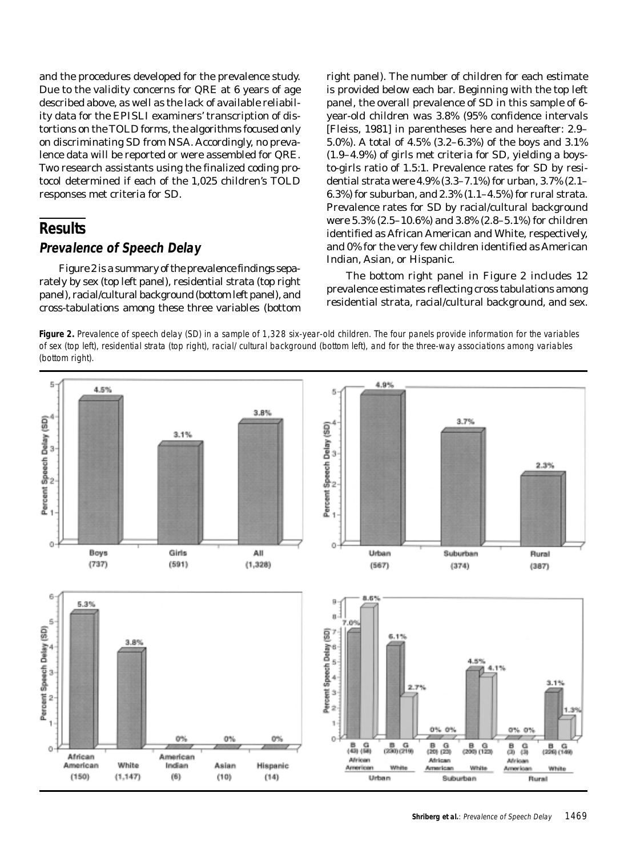and the procedures developed for the prevalence study. Due to the validity concerns for QRE at 6 years of age described above, as well as the lack of available reliability data for the EPISLI examiners' transcription of distortions on the TOLD forms, the algorithms focused only on discriminating SD from NSA. Accordingly, no prevalence data will be reported or were assembled for QRE. Two research assistants using the finalized coding protocol determined if each of the 1,025 children's TOLD responses met criteria for SD.

# **Results**

### **Prevalence of Speech Delay**

Figure 2 is a summary of the prevalence findings separately by sex (top left panel), residential strata (top right panel), racial/cultural background (bottom left panel), and cross-tabulations among these three variables (bottom

right panel). The number of children for each estimate is provided below each bar. Beginning with the top left panel, the overall prevalence of SD in this sample of 6 year-old children was 3.8% (95% confidence intervals [Fleiss, 1981] in parentheses here and hereafter: 2.9– 5.0%). A total of 4.5% (3.2–6.3%) of the boys and 3.1% (1.9–4.9%) of girls met criteria for SD, yielding a boysto-girls ratio of 1.5:1. Prevalence rates for SD by residential strata were 4.9% (3.3–7.1%) for urban, 3.7% (2.1– 6.3%) for suburban, and 2.3% (1.1–4.5%) for rural strata. Prevalence rates for SD by racial/cultural background were 5.3% (2.5–10.6%) and 3.8% (2.8–5.1%) for children identified as African American and White, respectively, and 0% for the very few children identified as American Indian, Asian, or Hispanic.

The bottom right panel in Figure 2 includes 12 prevalence estimates reflecting cross tabulations among residential strata, racial/cultural background, and sex.

**Figure 2.** Prevalence of speech delay (SD) in a sample of 1,328 six-year-old children. The four panels provide information for the variables of sex (top left), residential strata (top right), racial/cultural background (bottom left), and for the three-way associations among variables (bottom right).

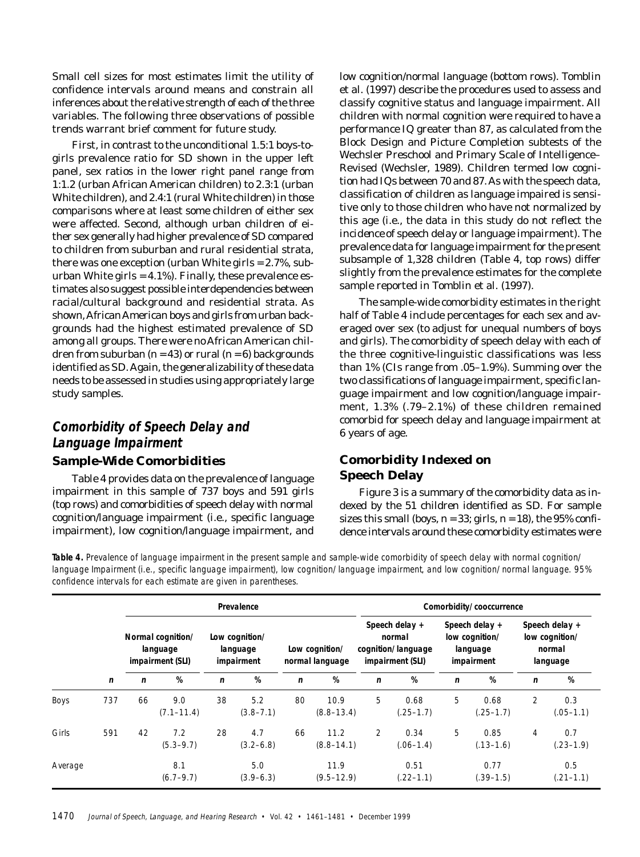Small cell sizes for most estimates limit the utility of confidence intervals around means and constrain all inferences about the relative strength of each of the three variables. The following three observations of possible trends warrant brief comment for future study.

First, in contrast to the unconditional 1.5:1 boys-togirls prevalence ratio for SD shown in the upper left panel, sex ratios in the lower right panel range from 1:1.2 (urban African American children) to 2.3:1 (urban White children), and 2.4:1 (rural White children) in those comparisons where at least some children of either sex were affected. Second, although urban children of either sex generally had higher prevalence of SD compared to children from suburban and rural residential strata, there was one exception (urban White girls = 2.7%, suburban White girls  $= 4.1\%$ ). Finally, these prevalence estimates also suggest possible interdependencies between racial/cultural background and residential strata. As shown, African American boys and girls from urban backgrounds had the highest estimated prevalence of SD among all groups. There were no African American children from suburban  $(n = 43)$  or rural  $(n = 6)$  backgrounds identified as SD. Again, the generalizability of these data needs to be assessed in studies using appropriately large study samples.

# **Comorbidity of Speech Delay and Language Impairment**

#### **Sample-Wide Comorbidities**

Table 4 provides data on the prevalence of language impairment in this sample of 737 boys and 591 girls (top rows) and comorbidities of speech delay with normal cognition/language impairment (i.e., specific language impairment), low cognition/language impairment, and low cognition/normal language (bottom rows). Tomblin et al. (1997) describe the procedures used to assess and classify cognitive status and language impairment. All children with normal cognition were required to have a performance IQ greater than 87, as calculated from the Block Design and Picture Completion subtests of the Wechsler Preschool and Primary Scale of Intelligence– Revised (Wechsler, 1989). Children termed low cognition had IQs between 70 and 87. As with the speech data, classification of children as language impaired is sensitive only to those children who have not normalized by this age (i.e., the data in this study do not reflect the *incidence* of speech delay or language impairment). The prevalence data for language impairment for the present subsample of 1,328 children (Table 4, top rows) differ slightly from the prevalence estimates for the complete sample reported in Tomblin et al. (1997).

The sample-wide comorbidity estimates in the right half of Table 4 include percentages for each sex and averaged over sex (to adjust for unequal numbers of boys and girls). The comorbidity of speech delay with each of the three cognitive-linguistic classifications was less than 1% (CIs range from .05–1.9%). Summing over the two classifications of language impairment, specific language impairment and low cognition/language impairment, 1.3% (.79–2.1%) of these children remained comorbid for speech delay and language impairment at 6 years of age.

### **Comorbidity Indexed on Speech Delay**

Figure 3 is a summary of the comorbidity data as indexed by the 51 children identified as SD. For sample sizes this small (boys,  $n = 33$ ; girls,  $n = 18$ ), the 95% confidence intervals around these comorbidity estimates were

**Table 4.** Prevalence of language impairment in the present sample and sample-wide comorbidity of speech delay with normal cognition/ language Impairment (i.e., specific language impairment), low cognition/language impairment, and low cognition/normal language. 95% confidence intervals for each estimate are given in parentheses.

|         |     |                                                   |                       |                                          | Prevalence           |                                   | Comorbidity/cooccurrence |                                                                    |                     |                                                            |                       |                                                        |                      |
|---------|-----|---------------------------------------------------|-----------------------|------------------------------------------|----------------------|-----------------------------------|--------------------------|--------------------------------------------------------------------|---------------------|------------------------------------------------------------|-----------------------|--------------------------------------------------------|----------------------|
|         |     | Normal cognition/<br>language<br>impairment (SLI) |                       | Low cognition/<br>language<br>impairment |                      | Low cognition/<br>normal language |                          | Speech delay +<br>normal<br>cognition/language<br>impairment (SLI) |                     | Speech delay +<br>low cognition/<br>language<br>impairment |                       | Speech delay +<br>low cognition/<br>normal<br>language |                      |
|         | n   | $\mathsf{n}$                                      | %                     | $\mathsf{n}$                             | %                    | $\mathsf{n}$                      | %                        | $\mathsf{n}$                                                       | %                   | $\mathsf{n}$                                               | %                     | $\mathsf{n}$                                           | %                    |
| Boys    | 737 | 66                                                | 9.0<br>$(7.1 - 11.4)$ | 38                                       | 5.2<br>$(3.8 - 7.1)$ | 80                                | 10.9<br>$(8.8 - 13.4)$   | 5                                                                  | 0.68<br>$(.25-1.7)$ | 5                                                          | 0.68<br>$(.25 - 1.7)$ | 2                                                      | 0.3<br>$(.05-1.1)$   |
| Girls   | 591 | 42                                                | 7.2<br>$(5.3 - 9.7)$  | 28                                       | 4.7<br>$(3.2 - 6.8)$ | 66                                | 11.2<br>$(8.8 - 14.1)$   | 2                                                                  | 0.34<br>$(.06-1.4)$ | 5                                                          | 0.85<br>$(.13 - 1.6)$ | 4                                                      | 0.7<br>$(.23-1.9)$   |
| Average |     |                                                   | 8.1<br>$(6.7 - 9.7)$  |                                          | 5.0<br>$(3.9 - 6.3)$ |                                   | 11.9<br>$(9.5 - 12.9)$   |                                                                    | 0.51<br>$(.22-1.1)$ |                                                            | 0.77<br>$(.39 - 1.5)$ |                                                        | 0.5<br>$(.21 - 1.1)$ |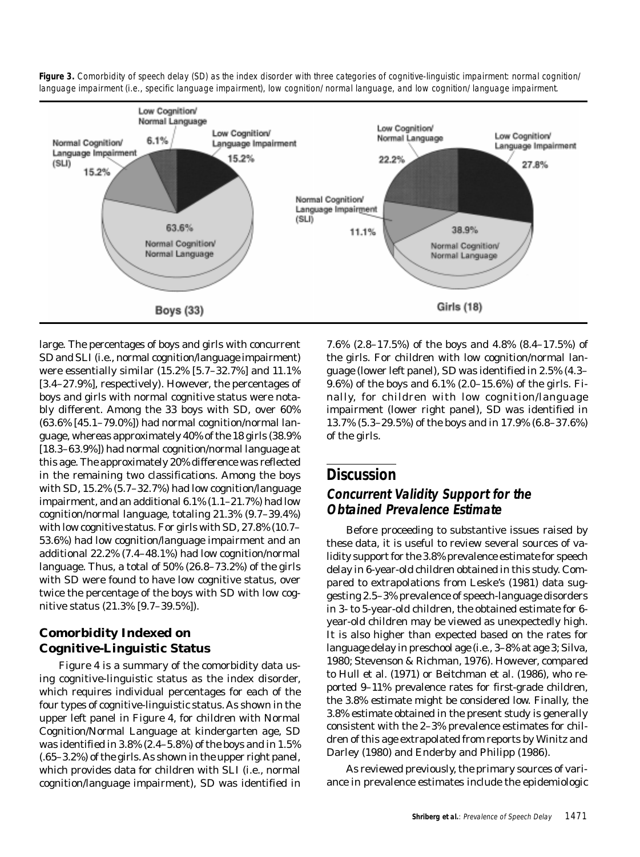Figure 3. Comorbidity of speech delay (SD) as the index disorder with three categories of cognitive-linguistic impairment: normal cognition/ language impairment (i.e., specific language impairment), low cognition/normal language, and low cognition/language impairment.



large. The percentages of boys and girls with concurrent SD and SLI (i.e., normal cognition/language impairment) were essentially similar (15.2% [5.7–32.7%] and 11.1% [3.4–27.9%], respectively). However, the percentages of boys and girls with normal cognitive status were notably different. Among the 33 boys with SD, over 60% (63.6% [45.1–79.0%]) had normal cognition/normal language, whereas approximately 40% of the 18 girls (38.9% [18.3–63.9%]) had normal cognition/normal language at this age. The approximately 20% difference was reflected in the remaining two classifications. Among the boys with SD, 15.2% (5.7–32.7%) had low cognition/language impairment, and an additional 6.1% (1.1–21.7%) had low cognition/normal language, totaling 21.3% (9.7–39.4%) with low cognitive status. For girls with SD, 27.8% (10.7– 53.6%) had low cognition/language impairment and an additional 22.2% (7.4–48.1%) had low cognition/normal language. Thus, a total of 50% (26.8–73.2%) of the girls with SD were found to have low cognitive status, over twice the percentage of the boys with SD with low cognitive status (21.3% [9.7–39.5%]).

# **Comorbidity Indexed on Cognitive-Linguistic Status**

Figure 4 is a summary of the comorbidity data using cognitive-linguistic status as the index disorder, which requires individual percentages for each of the four types of cognitive-linguistic status. As shown in the upper left panel in Figure 4, for children with Normal Cognition/Normal Language at kindergarten age, SD was identified in 3.8% (2.4–5.8%) of the boys and in 1.5% (.65–3.2%) of the girls. As shown in the upper right panel, which provides data for children with SLI (i.e., normal cognition/language impairment), SD was identified in 7.6% (2.8–17.5%) of the boys and 4.8% (8.4–17.5%) of the girls. For children with low cognition/normal language (lower left panel), SD was identified in 2.5% (4.3– 9.6%) of the boys and 6.1% (2.0–15.6%) of the girls. Finally, for children with low cognition/language impairment (lower right panel), SD was identified in 13.7% (5.3–29.5%) of the boys and in 17.9% (6.8–37.6%) of the girls.

# **Discussion**

# **Concurrent Validity Support for the Obtained Prevalence Estimate**

Before proceeding to substantive issues raised by these data, it is useful to review several sources of validity support for the 3.8% prevalence estimate for speech delay in 6-year-old children obtained in this study. Compared to extrapolations from Leske's (1981) data suggesting 2.5–3% prevalence of speech-language disorders in 3- to 5-year-old children, the obtained estimate for 6 year-old children may be viewed as unexpectedly high. It is also higher than expected based on the rates for language delay in preschool age (i.e., 3–8% at age 3; Silva, 1980; Stevenson & Richman, 1976). However, compared to Hull et al. (1971) or Beitchman et al. (1986), who reported 9–11% prevalence rates for first-grade children, the 3.8% estimate might be considered low. Finally, the 3.8% estimate obtained in the present study is generally consistent with the 2–3% prevalence estimates for children of this age extrapolated from reports by Winitz and Darley (1980) and Enderby and Philipp (1986).

As reviewed previously, the primary sources of variance in prevalence estimates include the epidemiologic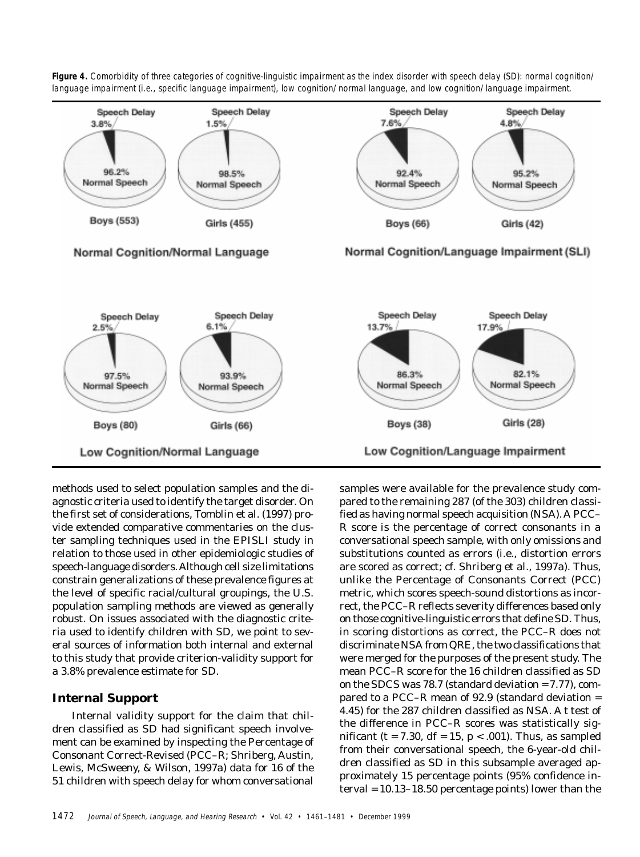**Figure 4.** Comorbidity of three categories of cognitive-linguistic impairment as the index disorder with speech delay (SD): normal cognition/ language impairment (i.e., specific language impairment), low cognition/normal language, and low cognition/language impairment.



methods used to select population samples and the diagnostic criteria used to identify the target disorder. On the first set of considerations, Tomblin et al. (1997) provide extended comparative commentaries on the cluster sampling techniques used in the EPISLI study in relation to those used in other epidemiologic studies of speech-language disorders. Although cell size limitations constrain generalizations of these prevalence figures at the level of specific racial/cultural groupings, the U.S. population sampling methods are viewed as generally robust. On issues associated with the diagnostic criteria used to identify children with SD, we point to several sources of information both internal and external to this study that provide criterion-validity support for a 3.8% prevalence estimate for SD.

### **Internal Support**

Internal validity support for the claim that children classified as SD had significant speech involvement can be examined by inspecting the Percentage of Consonant Correct-Revised (PCC–R; Shriberg, Austin, Lewis, McSweeny, & Wilson, 1997a) data for 16 of the 51 children with speech delay for whom conversational

samples were available for the prevalence study compared to the remaining 287 (of the 303) children classified as having normal speech acquisition (NSA). A PCC– R score is the percentage of correct consonants in a conversational speech sample, with only omissions and substitutions counted as errors (i.e., distortion errors are scored as correct; cf. Shriberg et al., 1997a). Thus, unlike the Percentage of Consonants Correct (PCC) metric, which scores speech-sound distortions as incorrect, the PCC–R reflects severity differences based only on those cognitive-linguistic errors that define SD. Thus, in scoring distortions as correct, the PCC–R does not discriminate NSA from QRE, the two classifications that were merged for the purposes of the present study. The mean PCC–R score for the 16 children classified as SD on the SDCS was 78.7 (standard deviation = 7.77), compared to a PCC–R mean of 92.9 (standard deviation = 4.45) for the 287 children classified as NSA. A *t* test of the difference in PCC–R scores was statistically significant (*t* = 7.30, *df* = 15, *p* < .001). Thus, as sampled from their conversational speech, the 6-year-old children classified as SD in this subsample averaged approximately 15 percentage points (95% confidence interval = 10.13–18.50 percentage points) lower than the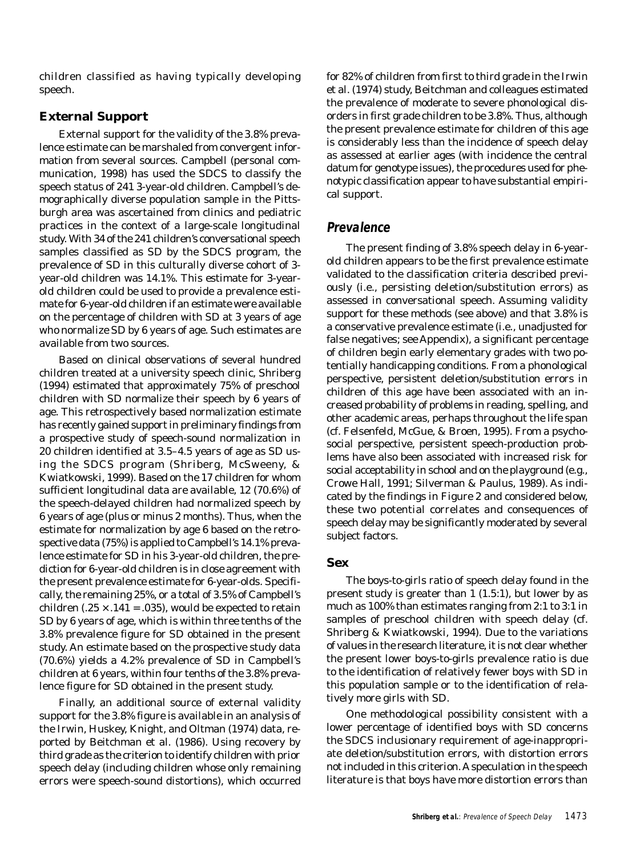children classified as having typically developing speech.

#### **External Support**

External support for the validity of the 3.8% prevalence estimate can be marshaled from convergent information from several sources. Campbell (personal communication, 1998) has used the SDCS to classify the speech status of 241 3-year-old children. Campbell's demographically diverse population sample in the Pittsburgh area was ascertained from clinics and pediatric practices in the context of a large-scale longitudinal study. With 34 of the 241 children's conversational speech samples classified as SD by the SDCS program, the prevalence of SD in this culturally diverse cohort of 3 year-old children was 14.1%. This estimate for 3-yearold children could be used to provide a prevalence estimate for 6-year-old children if an estimate were available on the percentage of children with SD at 3 years of age who normalize SD by 6 years of age. Such estimates are available from two sources.

Based on clinical observations of several hundred children treated at a university speech clinic, Shriberg (1994) estimated that approximately 75% of preschool children with SD normalize their speech by 6 years of age. This retrospectively based normalization estimate has recently gained support in preliminary findings from a prospective study of speech-sound normalization in 20 children identified at 3.5–4.5 years of age as SD using the SDCS program (Shriberg, McSweeny, & Kwiatkowski, 1999). Based on the 17 children for whom sufficient longitudinal data are available, 12 (70.6%) of the speech-delayed children had normalized speech by 6 years of age (plus or minus 2 months). Thus, when the estimate for normalization by age 6 based on the retrospective data (75%) is applied to Campbell's 14.1% prevalence estimate for SD in his 3-year-old children, the prediction for 6-year-old children is in close agreement with the present prevalence estimate for 6-year-olds. Specifically, the remaining 25%, or a total of 3.5% of Campbell's children (.25  $\times$  .141 = .035), would be expected to retain SD by 6 years of age, which is within three tenths of the 3.8% prevalence figure for SD obtained in the present study. An estimate based on the prospective study data (70.6%) yields a 4.2% prevalence of SD in Campbell's children at 6 years, within four tenths of the 3.8% prevalence figure for SD obtained in the present study.

Finally, an additional source of external validity support for the 3.8% figure is available in an analysis of the Irwin, Huskey, Knight, and Oltman (1974) data, reported by Beitchman et al. (1986). Using recovery by third grade as the criterion to identify children with prior speech delay (including children whose only remaining errors were speech-sound distortions), which occurred

for 82% of children from first to third grade in the Irwin et al. (1974) study, Beitchman and colleagues estimated the prevalence of moderate to severe phonological disorders in first grade children to be 3.8%. Thus, although the present prevalence estimate for children of this age is considerably less than the incidence of speech delay as assessed at earlier ages (with incidence the central datum for genotype issues), the procedures used for phenotypic classification appear to have substantial empirical support.

#### **Prevalence**

The present finding of 3.8% speech delay in 6-yearold children appears to be the first prevalence estimate validated to the classification criteria described previously (i.e., persisting deletion/substitution errors) as assessed in conversational speech. Assuming validity support for these methods (see above) and that 3.8% is a conservative prevalence estimate (i.e., unadjusted for false negatives; see Appendix), a significant percentage of children begin early elementary grades with two potentially handicapping conditions. From a phonological perspective, persistent deletion/substitution errors in children of this age have been associated with an increased probability of problems in reading, spelling, and other academic areas, perhaps throughout the life span (cf. Felsenfeld, McGue, & Broen, 1995). From a psychosocial perspective, persistent speech-production problems have also been associated with increased risk for social acceptability in school and on the playground (e.g., Crowe Hall, 1991; Silverman & Paulus, 1989). As indicated by the findings in Figure 2 and considered below, these two potential correlates and consequences of speech delay may be significantly moderated by several subject factors.

#### **Sex**

The boys-to-girls ratio of speech delay found in the present study is greater than 1 (1.5:1), but lower by as much as 100% than estimates ranging from 2:1 to 3:1 in samples of preschool children with speech delay (cf. Shriberg & Kwiatkowski, 1994). Due to the variations of values in the research literature, it is not clear whether the present lower boys-to-girls prevalence ratio is due to the identification of relatively fewer boys with SD in this population sample or to the identification of relatively more girls with SD.

One methodological possibility consistent with a lower percentage of identified boys with SD concerns the SDCS inclusionary requirement of age-inappropriate deletion/substitution errors, with distortion errors not included in this criterion. A speculation in the speech literature is that boys have more distortion errors than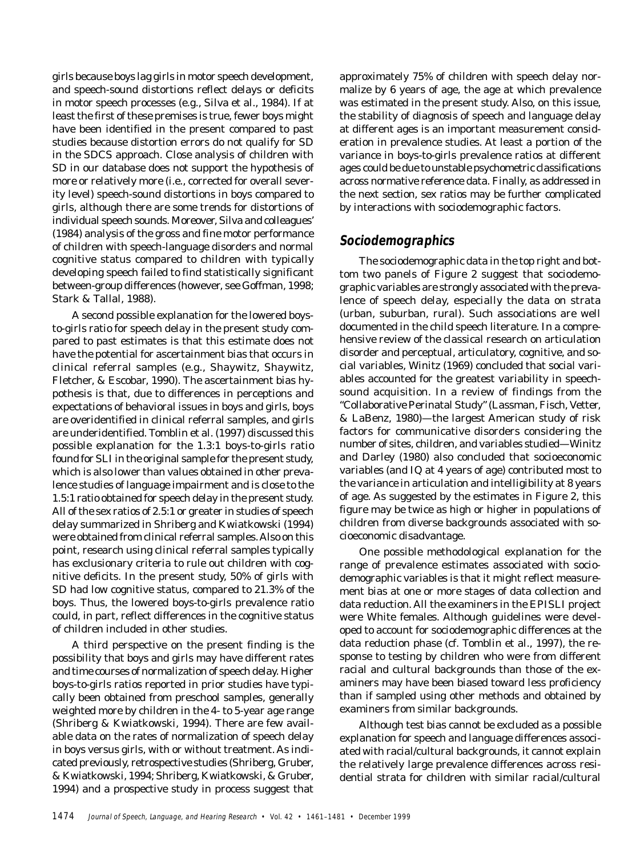girls because boys lag girls in motor speech development, and speech-sound distortions reflect delays or deficits in motor speech processes (e.g., Silva et al., 1984). If at least the first of these premises is true, fewer boys might have been identified in the present compared to past studies because distortion errors do not qualify for SD in the SDCS approach. Close analysis of children with SD in our database does not support the hypothesis of more or relatively more (i.e., corrected for overall severity level) speech-sound distortions in boys compared to girls, although there are some trends for distortions of individual speech sounds. Moreover, Silva and colleagues' (1984) analysis of the gross and fine motor performance of children with speech-language disorders and normal cognitive status compared to children with typically developing speech failed to find statistically significant between-group differences (however, see Goffman, 1998; Stark & Tallal, 1988).

A second possible explanation for the lowered boysto-girls ratio for speech delay in the present study compared to past estimates is that this estimate does not have the potential for ascertainment bias that occurs in clinical referral samples (e.g., Shaywitz, Shaywitz, Fletcher, & Escobar, 1990). The ascertainment bias hypothesis is that, due to differences in perceptions and expectations of behavioral issues in boys and girls, boys are overidentified in clinical referral samples, and girls are underidentified. Tomblin et al. (1997) discussed this possible explanation for the 1.3:1 boys-to-girls ratio found for SLI in the original sample for the present study, which is also lower than values obtained in other prevalence studies of language impairment and is close to the 1.5:1 ratio obtained for speech delay in the present study. All of the sex ratios of 2.5:1 or greater in studies of speech delay summarized in Shriberg and Kwiatkowski (1994) were obtained from clinical referral samples. Also on this point, research using clinical referral samples typically has exclusionary criteria to rule out children with cognitive deficits. In the present study, 50% of girls with SD had low cognitive status, compared to 21.3% of the boys. Thus, the lowered boys-to-girls prevalence ratio could, in part, reflect differences in the cognitive status of children included in other studies.

A third perspective on the present finding is the possibility that boys and girls may have different rates and time courses of normalization of speech delay. Higher boys-to-girls ratios reported in prior studies have typically been obtained from preschool samples, generally weighted more by children in the 4- to 5-year age range (Shriberg & Kwiatkowski, 1994). There are few available data on the rates of normalization of speech delay in boys versus girls, with or without treatment. As indicated previously, retrospective studies (Shriberg, Gruber, & Kwiatkowski, 1994; Shriberg, Kwiatkowski, & Gruber, 1994) and a prospective study in process suggest that approximately 75% of children with speech delay normalize by 6 years of age, the age at which prevalence was estimated in the present study. Also, on this issue, the stability of diagnosis of speech and language delay at different ages is an important measurement consideration in prevalence studies. At least a portion of the variance in boys-to-girls prevalence ratios at different ages could be due to unstable psychometric classifications across normative reference data. Finally, as addressed in the next section, sex ratios may be further complicated by interactions with sociodemographic factors.

# **Sociodemographics**

The sociodemographic data in the top right and bottom two panels of Figure 2 suggest that sociodemographic variables are strongly associated with the prevalence of speech delay, especially the data on strata (urban, suburban, rural). Such associations are well documented in the child speech literature. In a comprehensive review of the classical research on articulation disorder and perceptual, articulatory, cognitive, and social variables, Winitz (1969) concluded that social variables accounted for the greatest variability in speechsound acquisition. In a review of findings from the "Collaborative Perinatal Study" (Lassman, Fisch, Vetter, & LaBenz, 1980)—the largest American study of risk factors for communicative disorders considering the number of sites, children, and variables studied—Winitz and Darley (1980) also concluded that socioeconomic variables (and IQ at 4 years of age) contributed most to the variance in articulation and intelligibility at 8 years of age. As suggested by the estimates in Figure 2, this figure may be twice as high or higher in populations of children from diverse backgrounds associated with socioeconomic disadvantage.

One possible methodological explanation for the range of prevalence estimates associated with sociodemographic variables is that it might reflect measurement bias at one or more stages of data collection and data reduction. All the examiners in the EPISLI project were White females. Although guidelines were developed to account for sociodemographic differences at the data reduction phase (cf. Tomblin et al., 1997), the response to testing by children who were from different racial and cultural backgrounds than those of the examiners may have been biased toward less proficiency than if sampled using other methods and obtained by examiners from similar backgrounds.

Although test bias cannot be excluded as a possible explanation for speech and language differences associated with racial/cultural backgrounds, it cannot explain the relatively large prevalence differences across residential strata for children with similar racial/cultural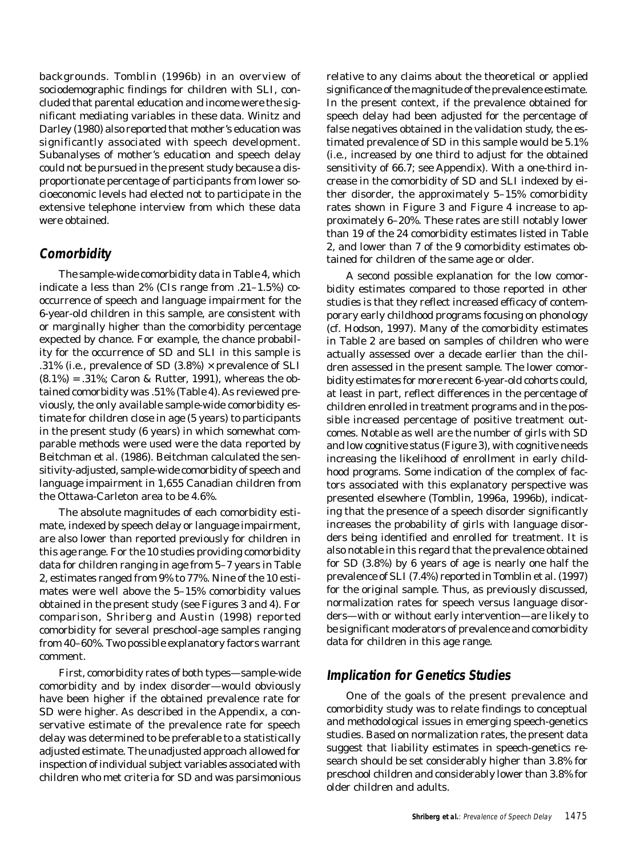backgrounds. Tomblin (1996b) in an overview of sociodemographic findings for children with SLI, concluded that parental education and income were the significant mediating variables in these data. Winitz and Darley (1980) also reported that mother's education was significantly associated with speech development. Subanalyses of mother's education and speech delay could not be pursued in the present study because a disproportionate percentage of participants from lower socioeconomic levels had elected not to participate in the extensive telephone interview from which these data were obtained.

### **Comorbidity**

The sample-wide comorbidity data in Table 4, which indicate a less than 2% (CIs range from .21–1.5%) cooccurrence of speech and language impairment for the 6-year-old children in this sample, are consistent with or marginally higher than the comorbidity percentage expected by chance. For example, the chance probability for the occurrence of SD and SLI in this sample is .31% (i.e., prevalence of SD  $(3.8%) \times$  prevalence of SLI  $(8.1\%) = .31\%$ ; Caron & Rutter, 1991), whereas the obtained comorbidity was .51% (Table 4). As reviewed previously, the only available sample-wide comorbidity estimate for children close in age (5 years) to participants in the present study (6 years) in which somewhat comparable methods were used were the data reported by Beitchman et al. (1986). Beitchman calculated the sensitivity-adjusted, sample-wide comorbidity of speech and language impairment in 1,655 Canadian children from the Ottawa-Carleton area to be 4.6%.

The absolute magnitudes of each comorbidity estimate, indexed by speech delay or language impairment, are also lower than reported previously for children in this age range. For the 10 studies providing comorbidity data for children ranging in age from 5–7 years in Table 2, estimates ranged from 9% to 77%. Nine of the 10 estimates were well above the 5–15% comorbidity values obtained in the present study (see Figures 3 and 4). For comparison, Shriberg and Austin (1998) reported comorbidity for several preschool-age samples ranging from 40–60%. Two possible explanatory factors warrant comment.

First, comorbidity rates of both types—sample-wide comorbidity and by index disorder—would obviously have been higher if the obtained prevalence rate for SD were higher. As described in the Appendix, a conservative estimate of the prevalence rate for speech delay was determined to be preferable to a statistically adjusted estimate. The unadjusted approach allowed for inspection of individual subject variables associated with children who met criteria for SD and was parsimonious relative to any claims about the theoretical or applied significance of the magnitude of the prevalence estimate. In the present context, if the prevalence obtained for speech delay had been adjusted for the percentage of false negatives obtained in the validation study, the estimated prevalence of SD in this sample would be 5.1% (i.e., increased by one third to adjust for the obtained sensitivity of 66.7; see Appendix). With a one-third increase in the comorbidity of SD and SLI indexed by either disorder, the approximately 5–15% comorbidity rates shown in Figure 3 and Figure 4 increase to approximately 6–20%. These rates are still notably lower than 19 of the 24 comorbidity estimates listed in Table 2, and lower than 7 of the 9 comorbidity estimates obtained for children of the same age or older.

A second possible explanation for the low comorbidity estimates compared to those reported in other studies is that they reflect increased efficacy of contemporary early childhood programs focusing on phonology (cf. Hodson, 1997). Many of the comorbidity estimates in Table 2 are based on samples of children who were actually assessed over a decade earlier than the children assessed in the present sample. The lower comorbidity estimates for more recent 6-year-old cohorts could, at least in part, reflect differences in the percentage of children enrolled in treatment programs and in the possible increased percentage of positive treatment outcomes. Notable as well are the number of girls with SD and low cognitive status (Figure 3), with cognitive needs increasing the likelihood of enrollment in early childhood programs. Some indication of the complex of factors associated with this explanatory perspective was presented elsewhere (Tomblin, 1996a, 1996b), indicating that the presence of a speech disorder significantly increases the probability of girls with language disorders being identified and enrolled for treatment. It is also notable in this regard that the prevalence obtained for SD (3.8%) by 6 years of age is nearly one half the prevalence of SLI (7.4%) reported in Tomblin et al. (1997) for the original sample. Thus, as previously discussed, normalization rates for speech versus language disorders—with or without early intervention—are likely to be significant moderators of prevalence and comorbidity data for children in this age range.

### **Implication for Genetics Studies**

One of the goals of the present prevalence and comorbidity study was to relate findings to conceptual and methodological issues in emerging speech-genetics studies. Based on normalization rates, the present data suggest that liability estimates in speech-genetics research should be set considerably higher than 3.8% for preschool children and considerably lower than 3.8% for older children and adults.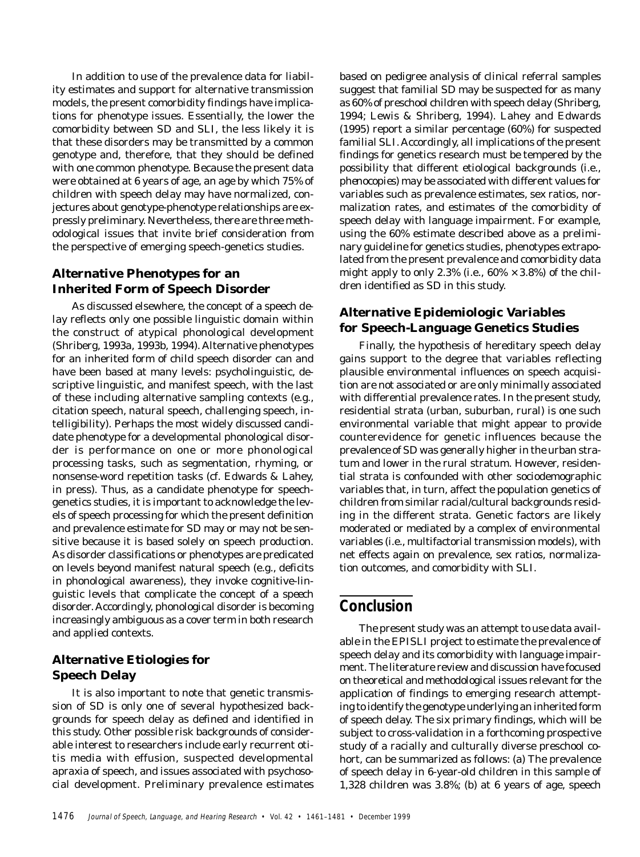In addition to use of the prevalence data for liability estimates and support for alternative transmission models, the present comorbidity findings have implications for phenotype issues. Essentially, the lower the comorbidity between SD and SLI, the less likely it is that these disorders may be transmitted by a common genotype and, therefore, that they should be defined with one common phenotype. Because the present data were obtained at 6 years of age, an age by which 75% of children with speech delay may have normalized, conjectures about genotype-phenotype relationships are expressly preliminary. Nevertheless, there are three methodological issues that invite brief consideration from the perspective of emerging speech-genetics studies.

# **Alternative Phenotypes for an Inherited Form of Speech Disorder**

As discussed elsewhere, the concept of a speech *delay* reflects only one possible linguistic domain within the construct of atypical phonological development (Shriberg, 1993a, 1993b, 1994). Alternative phenotypes for an inherited form of child speech disorder can and have been based at many levels: psycholinguistic, descriptive linguistic, and manifest speech, with the last of these including alternative sampling contexts (e.g., citation speech, natural speech, challenging speech, intelligibility). Perhaps the most widely discussed candidate phenotype for a developmental phonological disorder is performance on one or more phonological processing tasks, such as segmentation, rhyming, or nonsense-word repetition tasks (cf. Edwards & Lahey, in press). Thus, as a candidate phenotype for speechgenetics studies, it is important to acknowledge the levels of speech processing for which the present definition and prevalence estimate for SD may or may not be sensitive because it is based solely on speech production. As disorder classifications or phenotypes are predicated on levels beyond manifest natural speech (e.g., deficits in phonological awareness), they invoke cognitive-linguistic levels that complicate the concept of a *speech* disorder. Accordingly, phonological disorder is becoming increasingly ambiguous as a cover term in both research and applied contexts.

# **Alternative Etiologies for Speech Delay**

It is also important to note that genetic transmission of SD is only one of several hypothesized backgrounds for speech delay as defined and identified in this study. Other possible risk backgrounds of considerable interest to researchers include early recurrent otitis media with effusion, suspected developmental apraxia of speech, and issues associated with psychosocial development. Preliminary prevalence estimates based on pedigree analysis of clinical referral samples suggest that familial SD may be suspected for as many as 60% of preschool children with speech delay (Shriberg, 1994; Lewis & Shriberg, 1994). Lahey and Edwards (1995) report a similar percentage (60%) for suspected familial SLI. Accordingly, all implications of the present findings for genetics research must be tempered by the possibility that different etiological backgrounds (i.e., *phenocopies*) may be associated with different values for variables such as prevalence estimates, sex ratios, normalization rates, and estimates of the comorbidity of speech delay with language impairment. For example, using the 60% estimate described above as a preliminary guideline for genetics studies, phenotypes extrapolated from the present prevalence and comorbidity data might apply to only 2.3% (i.e.,  $60\% \times 3.8\%$ ) of the children identified as SD in this study.

# **Alternative Epidemiologic Variables for Speech-Language Genetics Studies**

Finally, the hypothesis of hereditary speech delay gains support to the degree that variables reflecting plausible environmental influences on speech acquisition are not associated or are only minimally associated with differential prevalence rates. In the present study, residential strata (urban, suburban, rural) is one such environmental variable that might appear to provide counterevidence for genetic influences because the prevalence of SD was generally higher in the urban stratum and lower in the rural stratum. However, residential strata is confounded with other sociodemographic variables that, in turn, affect the population genetics of children from similar racial/cultural backgrounds residing in the different strata. Genetic factors are likely moderated or mediated by a complex of environmental variables (i.e., multifactorial transmission models), with net effects again on prevalence, sex ratios, normalization outcomes, and comorbidity with SLI.

# **Conclusion**

The present study was an attempt to use data available in the EPISLI project to estimate the prevalence of speech delay and its comorbidity with language impairment. The literature review and discussion have focused on theoretical and methodological issues relevant for the application of findings to emerging research attempting to identify the genotype underlying an inherited form of speech delay. The six primary findings, which will be subject to cross-validation in a forthcoming prospective study of a racially and culturally diverse preschool cohort, can be summarized as follows: (a) The prevalence of speech delay in 6-year-old children in this sample of 1,328 children was 3.8%; (b) at 6 years of age, speech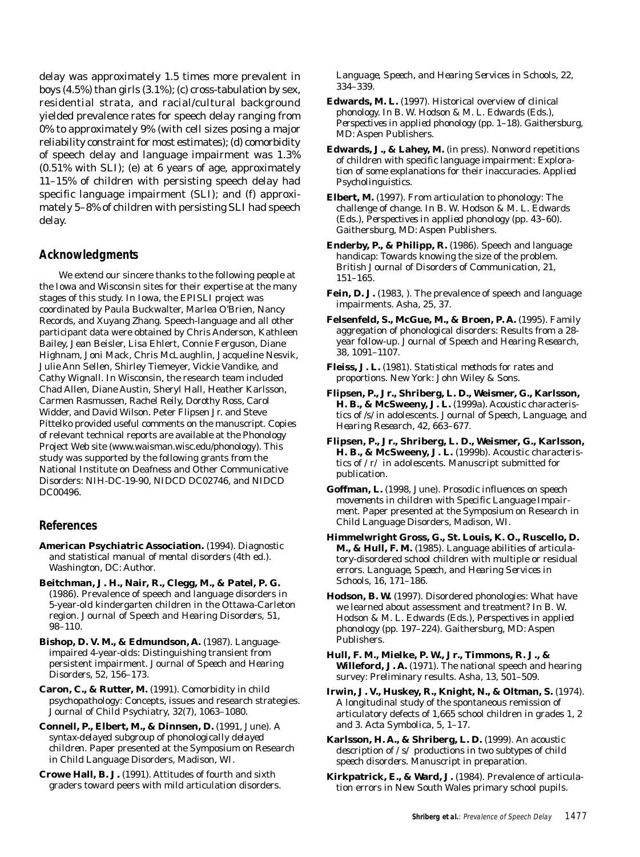delay was approximately 1.5 times more prevalent in boys (4.5%) than girls (3.1%); (c) cross-tabulation by sex, residential strata, and racial/cultural background yielded prevalence rates for speech delay ranging from 0% to approximately 9% (with cell sizes posing a major reliability constraint for most estimates); (d) comorbidity of speech delay and language impairment was 1.3% (0.51% with SLI); (e) at 6 years of age, approximately 11–15% of children with persisting speech delay had specific language impairment (SLI); and (f) approximately 5–8% of children with persisting SLI had speech delay.

#### **Acknowledgments**

We extend our sincere thanks to the following people at the Iowa and Wisconsin sites for their expertise at the many stages of this study. In Iowa, the EPISLI project was coordinated by Paula Buckwalter, Marlea O'Brien, Nancy Records, and Xuyang Zhang. Speech-language and all other participant data were obtained by Chris Anderson, Kathleen Bailey, Jean Beisler, Lisa Ehlert, Connie Ferguson, Diane Highnam, Joni Mack, Chris McLaughlin, Jacqueline Nesvik, Julie Ann Sellen, Shirley Tiemeyer, Vickie Vandike, and Cathy Wignall. In Wisconsin, the research team included Chad Allen, Diane Austin, Sheryl Hall, Heather Karlsson, Carmen Rasmussen, Rachel Reily, Dorothy Ross, Carol Widder, and David Wilson. Peter Flipsen Jr. and Steve Pittelko provided useful comments on the manuscript. Copies of relevant technical reports are available at the Phonology Project Web site (www.waisman.wisc.edu/phonology). This study was supported by the following grants from the National Institute on Deafness and Other Communicative Disorders: NIH-DC-19-90, NIDCD DC02746, and NIDCD DC00496.

#### **References**

- **American Psychiatric Association.** (1994). *Diagnostic and statistical manual of mental disorders* (4th ed.). Washington, DC: Author.
- **Beitchman, J. H., Nair, R., Clegg, M., & Patel, P. G.** (1986). Prevalence of speech and language disorders in 5-year-old kindergarten children in the Ottawa-Carleton region. *Journal of Speech and Hearing Disorders, 51*, 98–110.
- **Bishop, D. V. M., & Edmundson, A.** (1987). Languageimpaired 4-year-olds: Distinguishing transient from persistent impairment. *Journal of Speech and Hearing Disorders, 52*, 156–173.
- **Caron, C., & Rutter, M.** (1991). Comorbidity in child psychopathology: Concepts, issues and research strategies. *Journal of Child Psychiatry, 32*(7), 1063–1080.
- **Connell, P., Elbert, M., & Dinnsen, D.** (1991, June). *A syntax-delayed subgroup of phonologically delayed children*. Paper presented at the Symposium on Research in Child Language Disorders, Madison, WI.

**Crowe Hall, B. J.** (1991). Attitudes of fourth and sixth graders toward peers with mild articulation disorders.

*Language, Speech, and Hearing Services in Schools, 22*, 334–339.

- **Edwards, M. L.** (1997). Historical overview of clinical phonology. In B. W. Hodson & M. L. Edwards (Eds.), *Perspectives in applied phonology* (pp. 1–18). Gaithersburg, MD: Aspen Publishers.
- **Edwards, J., & Lahey, M.** (in press). Nonword repetitions of children with specific language impairment: Exploration of some explanations for their inaccuracies. *Applied Psycholinguistics*.
- **Elbert, M.** (1997). From articulation to phonology: The challenge of change. In B. W. Hodson & M. L. Edwards (Eds.), *Perspectives in applied phonology* (pp. 43–60). Gaithersburg, MD: Aspen Publishers.
- **Enderby, P., & Philipp, R.** (1986). Speech and language handicap: Towards knowing the size of the problem. *British Journal of Disorders of Communication, 21*, 151–165.
- **Fein, D. J.** (1983, ). The prevalence of speech and language impairments. *Asha, 25*, 37.
- **Felsenfeld, S., McGue, M., & Broen, P. A.** (1995). Family aggregation of phonological disorders: Results from a 28 year follow-up. *Journal of Speech and Hearing Research, 38*, 1091–1107.
- **Fleiss, J. L.** (1981). *Statistical methods for rates and proportions*. New York: John Wiley & Sons.
- **Flipsen, P., Jr., Shriberg, L. D., Weismer, G., Karlsson, H. B., & McSweeny, J. L.** (1999a). Acoustic characteristics of /s/ in adolescents. *Journal of Speech, Language, and Hearing Research, 42,* 663–677.
- **Flipsen, P., Jr., Shriberg, L. D., Weismer, G., Karlsson, H. B., & McSweeny, J. L.** (1999b). *Acoustic characteristics of /r/ in adolescents*. Manuscript submitted for publication.
- **Goffman, L.** (1998, June). *Prosodic influences on speech movements in children with Specific Language Impairment*. Paper presented at the Symposium on Research in Child Language Disorders, Madison, WI.
- **Himmelwright Gross, G., St. Louis, K. O., Ruscello, D. M., & Hull, F. M.** (1985). Language abilities of articulatory-disordered school children with multiple or residual errors. *Language, Speech, and Hearing Services in Schools, 16*, 171–186.
- **Hodson, B. W.** (1997). Disordered phonologies: What have we learned about assessment and treatment? In B. W. Hodson & M. L. Edwards (Eds.), *Perspectives in applied phonology* (pp. 197–224). Gaithersburg, MD: Aspen Publishers.
- **Hull, F. M., Mielke, P. W., Jr., Timmons, R. J., & Willeford, J. A.** (1971). The national speech and hearing survey: Preliminary results. *Asha, 13*, 501–509.
- **Irwin, J. V., Huskey, R., Knight, N., & Oltman, S.** (1974). A longitudinal study of the spontaneous remission of articulatory defects of 1,665 school children in grades 1, 2 and 3. *Acta Symbolica, 5*, 1–17.
- **Karlsson, H. A., & Shriberg, L. D.** (1999). *An acoustic description of /s/ productions in two subtypes of child speech disorders.* Manuscript in preparation.
- **Kirkpatrick, E., & Ward, J.** (1984). Prevalence of articulation errors in New South Wales primary school pupils.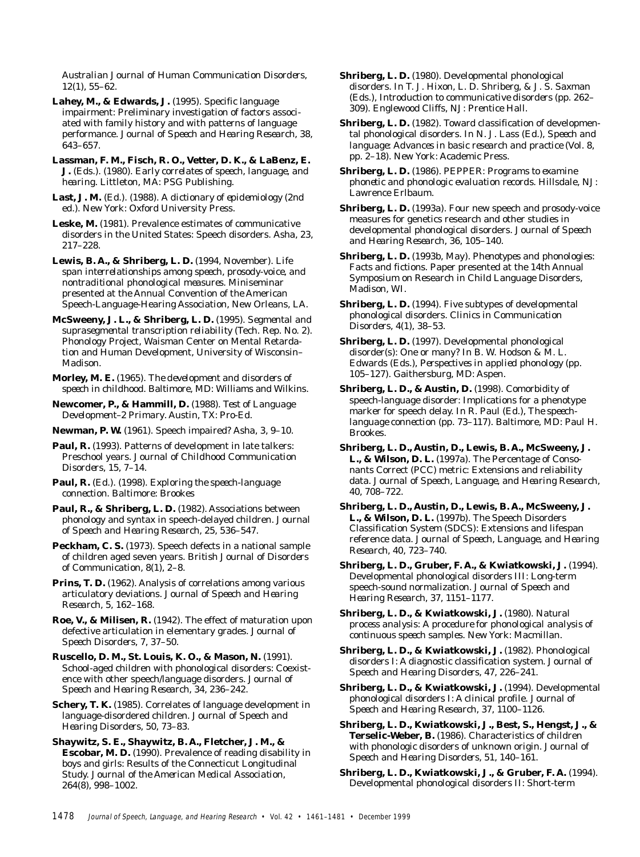*Australian Journal of Human Communication Disorders, 12*(1), 55–62.

**Lahey, M., & Edwards, J.** (1995). Specific language impairment: Preliminary investigation of factors associated with family history and with patterns of language performance. *Journal of Speech and Hearing Research, 38*, 643–657.

**Lassman, F. M., Fisch, R. O., Vetter, D. K., & LaBenz, E. J.** (Eds.). (1980). *Early correlates of speech, language, and hearing*. Littleton, MA: PSG Publishing.

**Last, J. M.** (Ed.). (1988). *A dictionary of epidemiology* (2nd ed.). New York: Oxford University Press.

**Leske, M.** (1981). Prevalence estimates of communicative disorders in the United States: Speech disorders. *Asha, 23*, 217–228.

**Lewis, B. A., & Shriberg, L. D.** (1994, November). *Life span interrelationships among speech, prosody-voice, and nontraditional phonological measures*. Miniseminar presented at the Annual Convention of the American Speech-Language-Hearing Association, New Orleans, LA.

**McSweeny, J. L., & Shriberg, L. D.** (1995). *Segmental and suprasegmental transcription reliability* (Tech. Rep. No. 2). Phonology Project, Waisman Center on Mental Retardation and Human Development, University of Wisconsin– Madison.

**Morley, M. E.** (1965). *The development and disorders of speech in childhood*. Baltimore, MD: Williams and Wilkins.

**Newcomer, P., & Hammill, D.** (1988). *Test of Language Development–2 Primary*. Austin, TX: Pro-Ed.

**Newman, P. W.** (1961). Speech impaired? *Asha, 3*, 9–10.

**Paul, R.** (1993). Patterns of development in late talkers: Preschool years. *Journal of Childhood Communication Disorders, 15*, 7–14.

**Paul, R.** (Ed.). (1998). *Exploring the speech-language connection*. Baltimore: Brookes

**Paul, R., & Shriberg, L. D.** (1982). Associations between phonology and syntax in speech-delayed children. *Journal of Speech and Hearing Research, 25*, 536–547.

**Peckham, C. S.** (1973). Speech defects in a national sample of children aged seven years. *British Journal of Disorders of Communication, 8*(1), 2–8.

**Prins, T. D.** (1962). Analysis of correlations among various articulatory deviations. *Journal of Speech and Hearing Research, 5*, 162–168.

**Roe, V., & Milisen, R.** (1942). The effect of maturation upon defective articulation in elementary grades. *Journal of Speech Disorders, 7*, 37–50.

**Ruscello, D. M., St. Louis, K. O., & Mason, N.** (1991). School-aged children with phonological disorders: Coexistence with other speech/language disorders. *Journal of Speech and Hearing Research, 34*, 236–242.

**Schery, T. K.** (1985). Correlates of language development in language-disordered children. *Journal of Speech and Hearing Disorders, 50*, 73–83.

**Shaywitz, S. E., Shaywitz, B. A., Fletcher, J. M., & Escobar, M. D.** (1990). Prevalence of reading disability in boys and girls: Results of the Connecticut Longitudinal Study. *Journal of the American Medical Association, 264*(8), 998–1002.

**Shriberg, L. D.** (1980). Developmental phonological disorders. In T. J. Hixon, L. D. Shriberg, & J. S. Saxman (Eds.), *Introduction to communicative disorders* (pp. 262– 309). Englewood Cliffs, NJ: Prentice Hall.

**Shriberg, L. D.** (1982). Toward classification of developmental phonological disorders. In N. J. Lass (Ed.), *Speech and language: Advances in basic research and practice* (Vol. 8, pp. 2–18). New York: Academic Press.

**Shriberg, L. D.** (1986). *PEPPER: Programs to examine phonetic and phonologic evaluation records*. Hillsdale, NJ: Lawrence Erlbaum.

**Shriberg, L. D.** (1993a). Four new speech and prosody-voice measures for genetics research and other studies in developmental phonological disorders. *Journal of Speech and Hearing Research, 36*, 105–140.

**Shriberg, L. D.** (1993b, May). *Phenotypes and phonologies: Facts and fictions*. Paper presented at the 14th Annual Symposium on Research in Child Language Disorders, Madison, WI.

**Shriberg, L. D.** (1994). Five subtypes of developmental phonological disorders. *Clinics in Communication Disorders, 4*(1), 38–53.

**Shriberg, L. D.** (1997). Developmental phonological disorder(s): One or many? In B. W. Hodson & M. L. Edwards (Eds.), *Perspectives in applied phonology* (pp. 105–127). Gaithersburg, MD: Aspen.

**Shriberg, L. D., & Austin, D.** (1998). Comorbidity of speech-language disorder: Implications for a phenotype marker for speech delay. In R. Paul (Ed.), *The speechlanguage connection* (pp. 73–117)*.* Baltimore, MD: Paul H. Brookes.

**Shriberg, L. D., Austin, D., Lewis, B. A., McSweeny, J. L., & Wilson, D. L.** (1997a). The Percentage of Consonants Correct (PCC) metric: Extensions and reliability data. *Journal of Speech, Language, and Hearing Research, 40*, 708–722.

**Shriberg, L. D., Austin, D., Lewis, B. A., McSweeny, J. L., & Wilson, D. L.** (1997b). The Speech Disorders Classification System (SDCS): Extensions and lifespan reference data. *Journal of Speech, Language, and Hearing Research, 40*, 723–740.

**Shriberg, L. D., Gruber, F. A., & Kwiatkowski, J.** (1994). Developmental phonological disorders III: Long-term speech-sound normalization. *Journal of Speech and Hearing Research, 37*, 1151–1177.

**Shriberg, L. D., & Kwiatkowski, J.** (1980). *Natural process analysis: A procedure for phonological analysis of continuous speech samples*. New York: Macmillan.

**Shriberg, L. D., & Kwiatkowski, J.** (1982). Phonological disorders I: A diagnostic classification system. *Journal of Speech and Hearing Disorders, 47*, 226–241.

**Shriberg, L. D., & Kwiatkowski, J.** (1994). Developmental phonological disorders I: A clinical profile. *Journal of Speech and Hearing Research, 37*, 1100–1126.

**Shriberg, L. D., Kwiatkowski, J., Best, S., Hengst, J., & Terselic-Weber, B.** (1986). Characteristics of children with phonologic disorders of unknown origin. *Journal of Speech and Hearing Disorders, 51*, 140–161.

**Shriberg, L. D., Kwiatkowski, J., & Gruber, F. A.** (1994). Developmental phonological disorders II: Short-term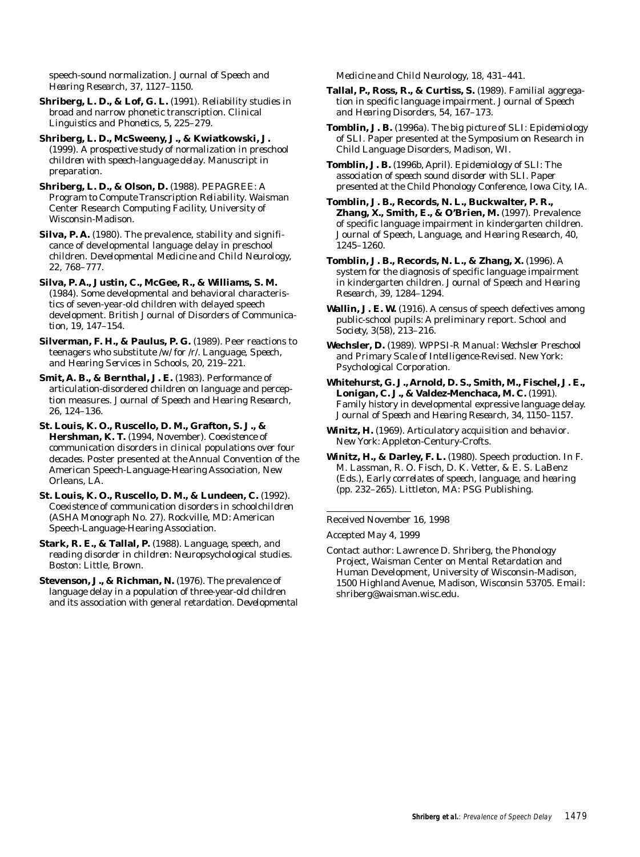speech-sound normalization. *Journal of Speech and Hearing Research, 37*, 1127–1150.

**Shriberg, L. D., & Lof, G. L.** (1991). Reliability studies in broad and narrow phonetic transcription. *Clinical Linguistics and Phonetics, 5*, 225–279.

**Shriberg, L. D., McSweeny, J., & Kwiatkowski, J.** (1999). *A prospective study of normalization in preschool children with speech-language delay*. Manuscript in preparation.

**Shriberg, L. D., & Olson, D.** (1988). *PEPAGREE: A Program to Compute Transcription Reliability*. Waisman Center Research Computing Facility, University of Wisconsin-Madison.

**Silva, P. A.** (1980). The prevalence, stability and significance of developmental language delay in preschool children. *Developmental Medicine and Child Neurology, 22*, 768–777.

**Silva, P. A., Justin, C., McGee, R., & Williams, S. M.** (1984). Some developmental and behavioral characteristics of seven-year-old children with delayed speech development. *British Journal of Disorders of Communication, 19*, 147–154.

**Silverman, F. H., & Paulus, P. G.** (1989). Peer reactions to teenagers who substitute /w/ for /r/. *Language, Speech, and Hearing Services in Schools, 20*, 219–221.

**Smit, A. B., & Bernthal, J. E.** (1983). Performance of articulation-disordered children on language and perception measures. *Journal of Speech and Hearing Research, 26*, 124–136.

**St. Louis, K. O., Ruscello, D. M., Grafton, S. J., & Hershman, K. T.** (1994, November). *Coexistence of communication disorders in clinical populations over four decades*. Poster presented at the Annual Convention of the American Speech-Language-Hearing Association, New Orleans, LA.

**St. Louis, K. O., Ruscello, D. M., & Lundeen, C.** (1992). *Coexistence of communication disorders in schoolchildren* (ASHA Monograph No. 27). Rockville, MD: American Speech-Language-Hearing Association.

**Stark, R. E., & Tallal, P.** (1988). *Language, speech, and reading disorder in children: Neuropsychological studies*. Boston: Little, Brown.

**Stevenson, J., & Richman, N.** (1976). The prevalence of language delay in a population of three-year-old children and its association with general retardation. *Developmental* *Medicine and Child Neurology, 18*, 431–441.

**Tallal, P., Ross, R., & Curtiss, S.** (1989). Familial aggregation in specific language impairment. *Journal of Speech and Hearing Disorders, 54*, 167–173.

**Tomblin, J. B.** (1996a). *The big picture of SLI: Epidemiology of SLI*. Paper presented at the Symposium on Research in Child Language Disorders, Madison, WI.

**Tomblin, J. B.** (1996b, April). *Epidemiology of SLI: The association of speech sound disorder with SLI*. Paper presented at the Child Phonology Conference, Iowa City, IA.

**Tomblin, J. B., Records, N. L., Buckwalter, P. R., Zhang, X., Smith, E., & O'Brien, M.** (1997). Prevalence of specific language impairment in kindergarten children. *Journal of Speech, Language, and Hearing Research, 40*, 1245–1260.

**Tomblin, J. B., Records, N. L., & Zhang, X.** (1996). A system for the diagnosis of specific language impairment in kindergarten children. *Journal of Speech and Hearing Research, 39*, 1284–1294.

**Wallin, J. E. W.** (1916). A census of speech defectives among public-school pupils: A preliminary report. *School and Society, 3*(58), 213–216.

**Wechsler, D.** (1989). *WPPSI-R Manual: Wechsler Preschool and Primary Scale of Intelligence-Revised*. New York: Psychological Corporation.

**Whitehurst, G. J., Arnold, D. S., Smith, M., Fischel, J. E., Lonigan, C. J., & Valdez-Menchaca, M. C.** (1991). Family history in developmental expressive language delay. *Journal of Speech and Hearing Research, 34*, 1150–1157.

**Winitz, H.** (1969). *Articulatory acquisition and behavior*. New York: Appleton-Century-Crofts.

**Winitz, H., & Darley, F. L.** (1980). Speech production. In F. M. Lassman, R. O. Fisch, D. K. Vetter, & E. S. LaBenz (Eds.), *Early correlates of speech, language, and hearing* (pp. 232–265). Littleton, MA: PSG Publishing.

Received November 16, 1998

Accepted May 4, 1999

Contact author: Lawrence D. Shriberg, the Phonology Project, Waisman Center on Mental Retardation and Human Development, University of Wisconsin-Madison, 1500 Highland Avenue, Madison, Wisconsin 53705. Email: shriberg@waisman.wisc.edu.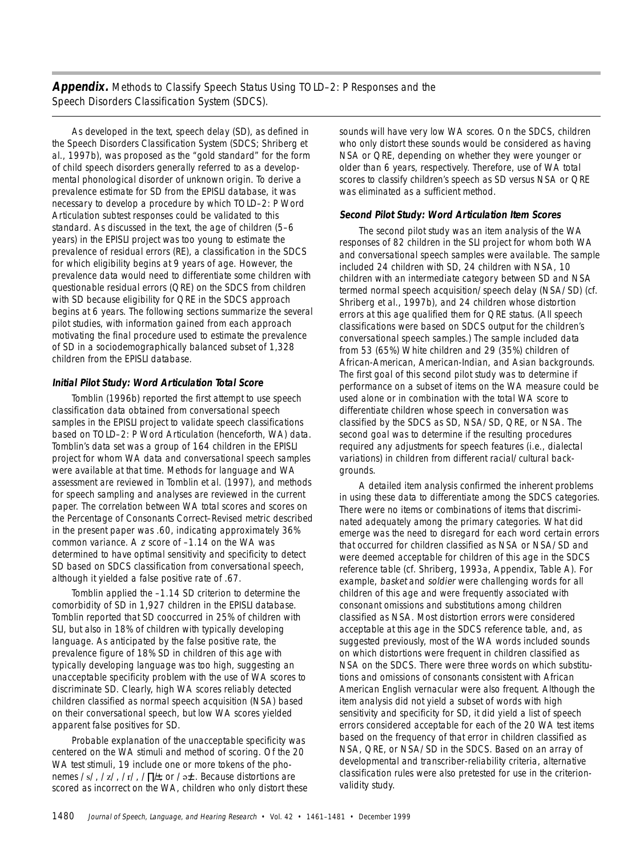**Appendix.** Methods to Classify Speech Status Using TOLD–2: P Responses and the Speech Disorders Classification System (SDCS).

As developed in the text, speech delay (SD), as defined in the Speech Disorders Classification System (SDCS; Shriberg et al., 1997b), was proposed as the "gold standard" for the form of child speech disorders generally referred to as a developmental phonological disorder of unknown origin. To derive a prevalence estimate for SD from the EPISLI database, it was necessary to develop a procedure by which TOLD–2: P Word Articulation subtest responses could be validated to this standard. As discussed in the text, the age of children (5–6 years) in the EPISLI project was too young to estimate the prevalence of residual errors (RE), a classification in the SDCS for which eligibility begins at 9 years of age. However, the prevalence data would need to differentiate some children with questionable residual errors (QRE) on the SDCS from children with SD because eligibility for QRE in the SDCS approach begins at 6 years. The following sections summarize the several pilot studies, with information gained from each approach motivating the final procedure used to estimate the prevalence of SD in a sociodemographically balanced subset of 1,328 children from the EPISLI database.

#### **Initial Pilot Study: Word Articulation Total Score**

Tomblin (1996b) reported the first attempt to use speech classification data obtained from conversational speech samples in the EPISLI project to validate speech classifications based on TOLD–2: P Word Articulation (henceforth, WA) data. Tomblin's data set was a group of 164 children in the EPISLI project for whom WA data and conversational speech samples were available at that time. Methods for language and WA assessment are reviewed in Tomblin et al. (1997), and methods for speech sampling and analyses are reviewed in the current paper. The correlation between WA total scores and scores on the Percentage of Consonants Correct–Revised metric described in the present paper was .60, indicating approximately 36% common variance. A z score of –1.14 on the WA was determined to have optimal sensitivity and specificity to detect SD based on SDCS classification from conversational speech, although it yielded a false positive rate of .67.

Tomblin applied the –1.14 SD criterion to determine the comorbidity of SD in 1,927 children in the EPISLI database. Tomblin reported that SD cooccurred in 25% of children with SLI, but also in 18% of children with typically developing language. As anticipated by the false positive rate, the prevalence figure of 18% SD in children of this age with typically developing language was too high, suggesting an unacceptable specificity problem with the use of WA scores to discriminate SD. Clearly, high WA scores reliably detected children classified as normal speech acquisition (NSA) based on their conversational speech, but low WA scores yielded apparent false positives for SD.

Probable explanation of the unacceptable specificity was centered on the WA stimuli and method of scoring. Of the 20 WA test stimuli, 19 include one or more tokens of the phonemes /s/, /z/, /r/, /∏ $\pm$ , or /ə $\pm$ . Because distortions are scored as incorrect on the WA, children who only distort these sounds will have very low WA scores. On the SDCS, children who only distort these sounds would be considered as having NSA or QRE, depending on whether they were younger or older than 6 years, respectively. Therefore, use of WA total scores to classify children's speech as SD versus NSA or QRE was eliminated as a sufficient method.

#### **Second Pilot Study: Word Articulation Item Scores**

The second pilot study was an item analysis of the WA responses of 82 children in the SLI project for whom both WA and conversational speech samples were available. The sample included 24 children with SD, 24 children with NSA, 10 children with an intermediate category between SD and NSA termed normal speech acquisition/speech delay (NSA/SD) (cf. Shriberg et al., 1997b), and 24 children whose distortion errors at this age qualified them for QRE status. (All speech classifications were based on SDCS output for the children's conversational speech samples.) The sample included data from 53 (65%) White children and 29 (35%) children of African-American, American-Indian, and Asian backgrounds. The first goal of this second pilot study was to determine if performance on a subset of items on the WA measure could be used alone or in combination with the total WA score to differentiate children whose speech in conversation was classified by the SDCS as SD, NSA/SD, QRE, or NSA. The second goal was to determine if the resulting procedures required any adjustments for speech features (i.e., dialectal variations) in children from different racial/cultural backgrounds.

A detailed item analysis confirmed the inherent problems in using these data to differentiate among the SDCS categories. There were no items or combinations of items that discriminated adequately among the primary categories. What did emerge was the need to disregard for each word certain errors that occurred for children classified as NSA or NSA/SD and were deemed acceptable for children of this age in the SDCS reference table (cf. Shriberg, 1993a, Appendix, Table A). For example, basket and soldier were challenging words for all children of this age and were frequently associated with consonant omissions and substitutions among children classified as NSA. Most distortion errors were considered acceptable at this age in the SDCS reference table, and, as suggested previously, most of the WA words included sounds on which distortions were frequent in children classified as NSA on the SDCS. There were three words on which substitutions and omissions of consonants consistent with African American English vernacular were also frequent. Although the item analysis did not yield a subset of words with high sensitivity and specificity for SD, it did yield a list of speech errors considered acceptable for each of the 20 WA test items based on the frequency of that error in children classified as NSA, QRE, or NSA/SD in the SDCS. Based on an array of developmental and transcriber-reliability criteria, alternative classification rules were also pretested for use in the criterionvalidity study.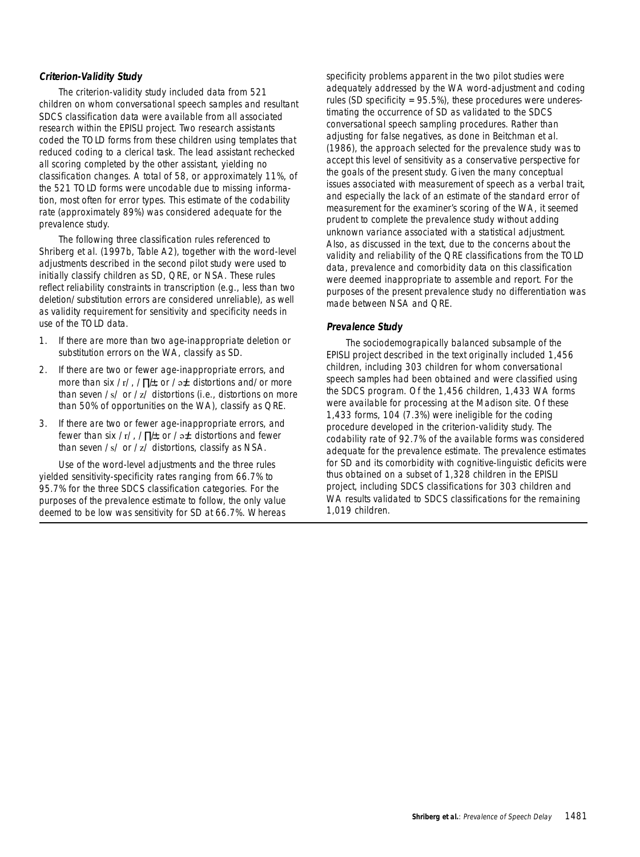#### **Criterion-Validity Study**

The criterion-validity study included data from 521 children on whom conversational speech samples and resultant SDCS classification data were available from all associated research within the EPISLI project. Two research assistants coded the TOLD forms from these children using templates that reduced coding to a clerical task. The lead assistant rechecked all scoring completed by the other assistant, yielding no classification changes. A total of 58, or approximately 11%, of the 521 TOLD forms were uncodable due to missing information, most often for error types. This estimate of the codability rate (approximately 89%) was considered adequate for the prevalence study.

The following three classification rules referenced to Shriberg et al. (1997b, Table A2), together with the word-level adjustments described in the second pilot study were used to initially classify children as SD, QRE, or NSA. These rules reflect reliability constraints in transcription (e.g., less than two deletion/substitution errors are considered unreliable), as well as validity requirement for sensitivity and specificity needs in use of the TOLD data.

- 1. If there are more than two age-inappropriate deletion or substitution errors on the WA, classify as SD.
- 2. If there are two or fewer age-inappropriate errors, and more than six /r/, /∏ $\pm$ , or /ə $\pm$ / distortions and/or more than seven /s/ or /z/ distortions (i.e., distortions on more than 50% of opportunities on the WA), classify as QRE.
- 3. If there are two or fewer age-inappropriate errors, and fewer than six /r/, /∏ $\pm$ , or /ə $\pm$ / distortions and fewer than seven /s/ or /z/ distortions, classify as NSA.

Use of the word-level adjustments and the three rules yielded sensitivity-specificity rates ranging from 66.7% to 95.7% for the three SDCS classification categories. For the purposes of the prevalence estimate to follow, the only value deemed to be low was sensitivity for SD at 66.7%. Whereas specificity problems apparent in the two pilot studies were adequately addressed by the WA word-adjustment and coding rules (SD specificity = 95.5%), these procedures were underestimating the occurrence of SD as validated to the SDCS conversational speech sampling procedures. Rather than adjusting for false negatives, as done in Beitchman et al. (1986), the approach selected for the prevalence study was to accept this level of sensitivity as a conservative perspective for the goals of the present study. Given the many conceptual issues associated with measurement of speech as a verbal trait, and especially the lack of an estimate of the standard error of measurement for the examiner's scoring of the WA, it seemed prudent to complete the prevalence study without adding unknown variance associated with a statistical adjustment. Also, as discussed in the text, due to the concerns about the validity and reliability of the QRE classifications from the TOLD data, prevalence and comorbidity data on this classification were deemed inappropriate to assemble and report. For the purposes of the present prevalence study no differentiation was made between NSA and QRE.

#### **Prevalence Study**

The sociodemograpically balanced subsample of the EPISLI project described in the text originally included 1,456 children, including 303 children for whom conversational speech samples had been obtained and were classified using the SDCS program. Of the 1,456 children, 1,433 WA forms were available for processing at the Madison site. Of these 1,433 forms, 104 (7.3%) were ineligible for the coding procedure developed in the criterion-validity study. The codability rate of 92.7% of the available forms was considered adequate for the prevalence estimate. The prevalence estimates for SD and its comorbidity with cognitive-linguistic deficits were thus obtained on a subset of 1,328 children in the EPISLI project, including SDCS classifications for 303 children and WA results validated to SDCS classifications for the remaining 1,019 children.